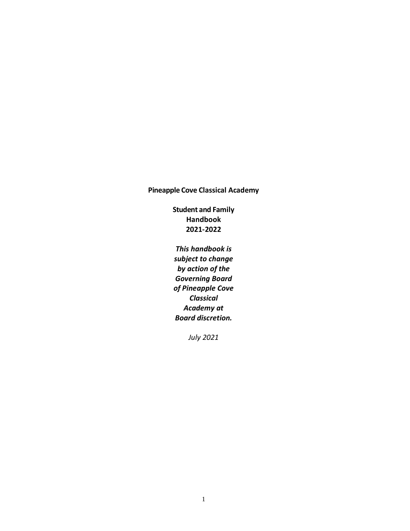### **Pineapple Cove Classical Academy**

**Student and Family Handbook 2021-2022**

*This handbook is subject to change by action of the Governing Board of Pineapple Cove Classical Academy at Board discretion.* 

*July 2021*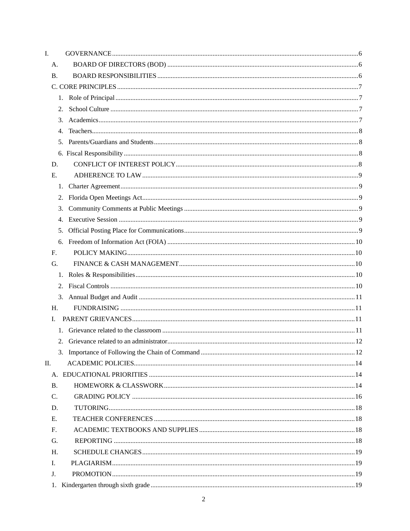| I.             |    |  |
|----------------|----|--|
| А.             |    |  |
| Β.             |    |  |
|                |    |  |
|                | 1. |  |
|                | 2. |  |
|                | 3. |  |
|                | 4. |  |
|                | 5. |  |
|                |    |  |
| D.             |    |  |
| E.             |    |  |
|                |    |  |
|                | 2. |  |
|                | 3. |  |
|                | 4. |  |
|                | 5. |  |
|                | 6. |  |
| F <sub>r</sub> |    |  |
| G.             |    |  |
|                | 1. |  |
|                | 2. |  |
|                | 3. |  |
| H.             |    |  |
| L.             |    |  |
|                |    |  |
|                |    |  |
|                |    |  |
| П.             |    |  |
|                |    |  |
| <b>B.</b>      |    |  |
| C.             |    |  |
| D.             |    |  |
| E.             |    |  |
| F <sub>r</sub> |    |  |
| G.             |    |  |
| H.             |    |  |
| L.             |    |  |
| J.             |    |  |
|                |    |  |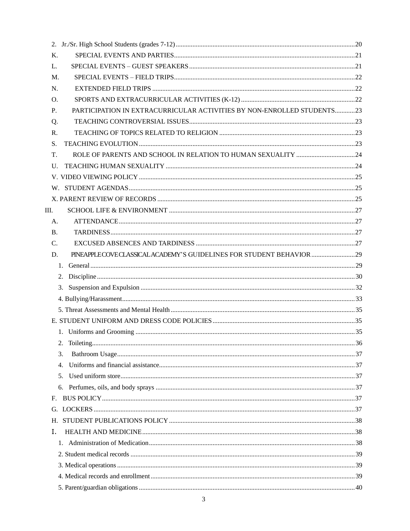| K.              |                                                                        |  |
|-----------------|------------------------------------------------------------------------|--|
| L.              |                                                                        |  |
| M.              |                                                                        |  |
| N.              |                                                                        |  |
| O.              |                                                                        |  |
| P.              | PARTICIPATION IN EXTRACURRICULAR ACTIVITIES BY NON-ENROLLED STUDENTS23 |  |
| Q.              |                                                                        |  |
| R.              |                                                                        |  |
| S.              |                                                                        |  |
| T.              |                                                                        |  |
| U.              |                                                                        |  |
|                 |                                                                        |  |
|                 |                                                                        |  |
|                 |                                                                        |  |
| Ш.              |                                                                        |  |
| A.              |                                                                        |  |
| <b>B.</b>       |                                                                        |  |
| $\mathcal{C}$ . |                                                                        |  |
| D.              |                                                                        |  |
|                 | $1_{-}$                                                                |  |
|                 | 2.                                                                     |  |
|                 | 3.                                                                     |  |
|                 |                                                                        |  |
|                 |                                                                        |  |
|                 |                                                                        |  |
|                 |                                                                        |  |
|                 | 2.                                                                     |  |
|                 | 3.                                                                     |  |
|                 | 4.                                                                     |  |
|                 | 5.                                                                     |  |
|                 | 6.                                                                     |  |
| F.              |                                                                        |  |
|                 |                                                                        |  |
| Н.              |                                                                        |  |
| Ι.              |                                                                        |  |
|                 |                                                                        |  |
|                 |                                                                        |  |
|                 |                                                                        |  |
|                 |                                                                        |  |
|                 |                                                                        |  |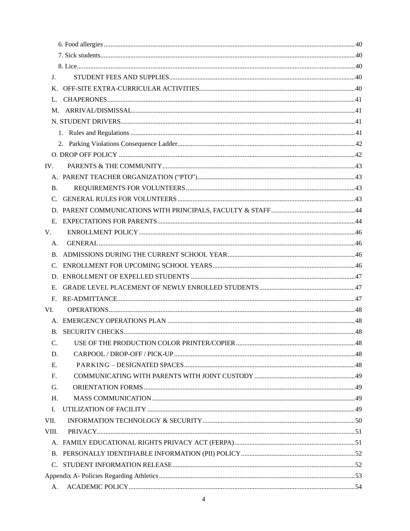| J.              |  |
|-----------------|--|
|                 |  |
|                 |  |
|                 |  |
|                 |  |
|                 |  |
|                 |  |
|                 |  |
| IV.             |  |
|                 |  |
| <b>B.</b>       |  |
|                 |  |
|                 |  |
| Е.              |  |
| V.              |  |
| A.              |  |
|                 |  |
|                 |  |
|                 |  |
| Е.              |  |
| F.              |  |
| VI.             |  |
|                 |  |
|                 |  |
| $\mathcal{C}$ . |  |
| D.              |  |
| E.              |  |
| F.              |  |
| G.              |  |
| H.              |  |
| I.              |  |
| VII.            |  |
| VIII.           |  |
|                 |  |
|                 |  |
| $C_{\cdot}$     |  |
|                 |  |
| А.              |  |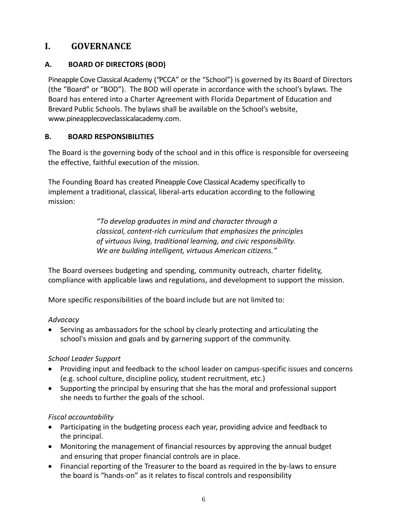# <span id="page-5-0"></span>**I. GOVERNANCE**

### <span id="page-5-1"></span>**A. BOARD OF DIRECTORS (BOD)**

Pineapple Cove Classical Academy ("PCCA" or the "School") is governed by its Board of Directors (the "Board" or "BOD"). The BOD will operate in accordance with the school's bylaws. The Board has entered into a Charter Agreement with Florida Department of Education and Brevard Public Schools. The bylaws shall be available on the School's website, www.pineapplecoveclassicalacademy.com.

### <span id="page-5-2"></span>**B. BOARD RESPONSIBILITIES**

The Board is the governing body of the school and in this office is responsible for overseeing the effective, faithful execution of the mission.

The Founding Board has created Pineapple Cove Classical Academy specifically to implement a traditional, classical, liberal-arts education according to the following mission:

> *"To develop graduates in mind and character through a classical, content-rich curriculum that emphasizes the principles of virtuous living, traditional learning, and civic responsibility. We are building intelligent, virtuous American citizens."*

The Board oversees budgeting and spending, community outreach, charter fidelity, compliance with applicable laws and regulations, and development to support the mission.

More specific responsibilities of the board include but are not limited to:

#### *Advocacy*

• Serving as ambassadors for the school by clearly protecting and articulating the school's mission and goals and by garnering support of the community.

### *School Leader Support*

- Providing input and feedback to the school leader on campus-specific issues and concerns (e.g. school culture, discipline policy, student recruitment, etc.)
- Supporting the principal by ensuring that she has the moral and professional support she needs to further the goals of the school.

### *Fiscal accountability*

- Participating in the budgeting process each year, providing advice and feedback to the principal.
- Monitoring the management of financial resources by approving the annual budget and ensuring that proper financial controls are in place.
- Financial reporting of the Treasurer to the board as required in the by-laws to ensure the board is "hands-on" as it relates to fiscal controls and responsibility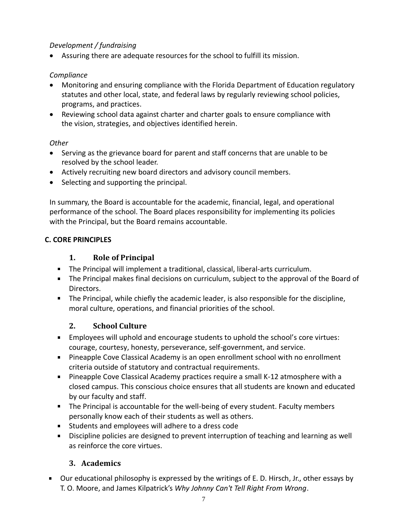### *Development / fundraising*

• Assuring there are adequate resources for the school to fulfill its mission.

### *Compliance*

- Monitoring and ensuring compliance with the Florida Department of Education regulatory statutes and other local, state, and federal laws by regularly reviewing school policies, programs, and practices.
- Reviewing school data against charter and charter goals to ensure compliance with the vision, strategies, and objectives identified herein.

#### *Other*

- Serving as the grievance board for parent and staff concerns that are unable to be resolved by the school leader.
- Actively recruiting new board directors and advisory council members.
- Selecting and supporting the principal.

In summary, the Board is accountable for the academic, financial, legal, and operational performance of the school. The Board places responsibility for implementing its policies with the Principal, but the Board remains accountable.

### <span id="page-6-1"></span><span id="page-6-0"></span>**C. CORE PRINCIPLES**

### **1. Role of Principal**

- The Principal will implement a traditional, classical, liberal-arts curriculum.
- The Principal makes final decisions on curriculum, subject to the approval of the Board of Directors.
- <span id="page-6-2"></span>The Principal, while chiefly the academic leader, is also responsible for the discipline, moral culture, operations, and financial priorities of the school.

### **2. School Culture**

- Employees will uphold and encourage students to uphold the school's core virtues: courage, courtesy, honesty, perseverance, self-government, and service.
- **Pineapple Cove Classical Academy is an open enrollment school with no enrollment** criteria outside of statutory and contractual requirements.
- Pineapple Cove Classical Academy practices require a small K-12 atmosphere with a closed campus. This conscious choice ensures that all students are known and educated by our faculty and staff.
- The Principal is accountable for the well-being of every student. Faculty members personally know each of their students as well as others.
- Students and employees will adhere to a dress code
- Discipline policies are designed to prevent interruption of teaching and learning as well  $\mathbf{u} = \mathbf{0}$ as reinforce the core virtues.

# **3. Academics**

<span id="page-6-3"></span>Our educational philosophy is expressed by the writings of E. D. Hirsch, Jr., other essays by T. O. Moore, and James Kilpatrick's *Why Johnny Can't Tell Right From Wrong*.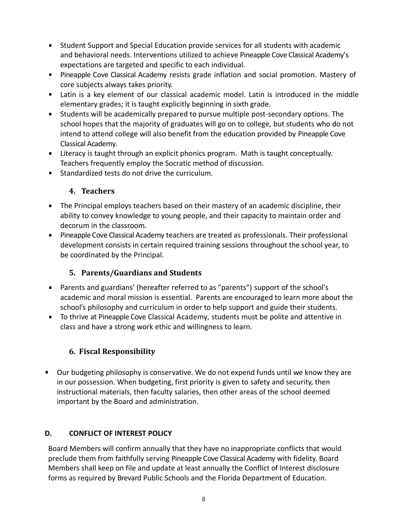- Student Support and Special Education provide services for all students with academic and behavioral needs. Interventions utilized to achieve Pineapple Cove Classical Academy's expectations are targeted and specific to each individual.
- Pineapple Cove Classical Academy resists grade inflation and social promotion. Mastery of core subjects always takes priority.
- Latin is a key element of our classical academic model. Latin is introduced in the middle elementary grades; it is taught explicitly beginning in sixth grade.
- Students will be academically prepared to pursue multiple post-secondary options. The school hopes that the majority of graduates will go on to college, but students who do not intend to attend college will also benefit from the education provided by Pineapple Cove Classical Academy.
- Literacy is taught through an explicit phonics program. Math is taught conceptually. Teachers frequently employ the Socratic method of discussion.
- <span id="page-7-0"></span>Standardized tests do not drive the curriculum.

### **4. Teachers**

- The Principal employs teachers based on their mastery of an academic discipline, their ability to convey knowledge to young people, and their capacity to maintain order and decorum in the classroom.
- **Pineapple Cove Classical Academy teachers are treated as professionals. Their professional** development consists in certain required training sessions throughout the school year, to be coordinated by the Principal.

# **5. Parents/Guardians and Students**

- <span id="page-7-1"></span>Parents and guardians' (hereafter referred to as "parents") support of the school's academic and moral mission is essential. Parents are encouraged to learn more about the school's philosophy and curriculum in order to help support and guide their students.
- <span id="page-7-2"></span>**Therm 20 To thrive at Pineapple Cove Classical Academy, students must be polite and attentive in** class and have a strong work ethic and willingness to learn.

# **6. Fiscal Responsibility**

**Dur budgeting philosophy is conservative. We do not expend funds until we know they are** in our possession. When budgeting, first priority is given to safety and security, then instructional materials, then faculty salaries, then other areas of the school deemed important by the Board and administration.

### <span id="page-7-3"></span>**D. CONFLICT OF INTEREST POLICY**

Board Members will confirm annually that they have no inappropriate conflicts that would preclude them from faithfully serving Pineapple Cove Classical Academy with fidelity. Board Members shall keep on file and update at least annually the Conflict of Interest disclosure forms as required by Brevard Public Schools and the Florida Department of Education.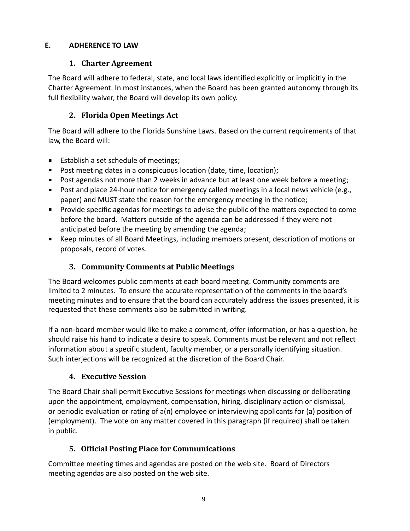#### <span id="page-8-1"></span><span id="page-8-0"></span>**E. ADHERENCE TO LAW**

### **1. Charter Agreement**

The Board will adhere to federal, state, and local laws identified explicitly or implicitly in the Charter Agreement. In most instances, when the Board has been granted autonomy through its full flexibility waiver, the Board will develop its own policy.

# **2. Florida Open Meetings Act**

<span id="page-8-2"></span>The Board will adhere to the Florida Sunshine Laws. Based on the current requirements of that law, the Board will:

- **Establish a set schedule of meetings;**
- **Post meeting dates in a conspicuous location (date, time, location);**
- **Post agendas not more than 2 weeks in advance but at least one week before a meeting;**
- **Post and place 24-hour notice for emergency called meetings in a local news vehicle (e.g.,** paper) and MUST state the reason for the emergency meeting in the notice;
- **Provide specific agendas for meetings to advise the public of the matters expected to come** before the board. Matters outside of the agenda can be addressed if they were not anticipated before the meeting by amending the agenda;
- <span id="page-8-3"></span>Keep minutes of all Board Meetings, including members present, description of motions or proposals, record of votes.

# **3. Community Comments at Public Meetings**

The Board welcomes public comments at each board meeting. Community comments are limited to 2 minutes. To ensure the accurate representation of the comments in the board's meeting minutes and to ensure that the board can accurately address the issues presented, it is requested that these comments also be submitted in writing.

If a non-board member would like to make a comment, offer information, or has a question, he should raise his hand to indicate a desire to speak. Comments must be relevant and not reflect information about a specific student, faculty member, or a personally identifying situation. Such interjections will be recognized at the discretion of the Board Chair.

# **4. Executive Session**

<span id="page-8-4"></span>The Board Chair shall permit Executive Sessions for meetings when discussing or deliberating upon the appointment, employment, compensation, hiring, disciplinary action or dismissal, or periodic evaluation or rating of a(n) employee or interviewing applicants for (a) position of (employment). The vote on any matter covered in this paragraph (if required) shall be taken in public.

# **5. Official Posting Place for Communications**

<span id="page-8-5"></span>Committee meeting times and agendas are posted on the web site. Board of Directors meeting agendas are also posted on the web site.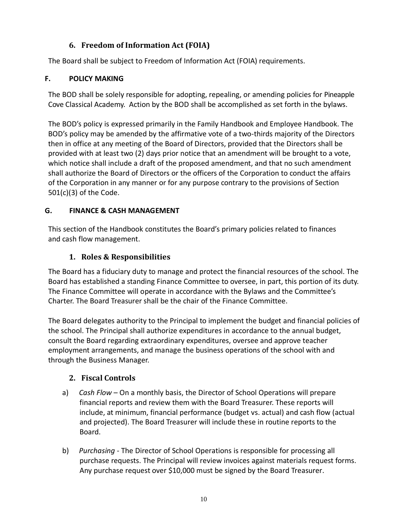### **6. Freedom of Information Act (FOIA)**

<span id="page-9-0"></span>The Board shall be subject to Freedom of Information Act (FOIA) requirements.

### <span id="page-9-1"></span>**F. POLICY MAKING**

The BOD shall be solely responsible for adopting, repealing, or amending policies for Pineapple Cove Classical Academy. Action by the BOD shall be accomplished as set forth in the bylaws.

The BOD's policy is expressed primarily in the Family Handbook and Employee Handbook. The BOD's policy may be amended by the affirmative vote of a two-thirds majority of the Directors then in office at any meeting of the Board of Directors, provided that the Directors shall be provided with at least two (2) days prior notice that an amendment will be brought to a vote, which notice shall include a draft of the proposed amendment, and that no such amendment shall authorize the Board of Directors or the officers of the Corporation to conduct the affairs of the Corporation in any manner or for any purpose contrary to the provisions of Section 501(c)(3) of the Code.

### <span id="page-9-2"></span>**G. FINANCE & CASH MANAGEMENT**

<span id="page-9-3"></span>This section of the Handbook constitutes the Board's primary policies related to finances and cash flow management.

# **1. Roles & Responsibilities**

The Board has a fiduciary duty to manage and protect the financial resources of the school. The Board has established a standing Finance Committee to oversee, in part, this portion of its duty. The Finance Committee will operate in accordance with the Bylaws and the Committee's Charter. The Board Treasurer shall be the chair of the Finance Committee.

The Board delegates authority to the Principal to implement the budget and financial policies of the school. The Principal shall authorize expenditures in accordance to the annual budget, consult the Board regarding extraordinary expenditures, oversee and approve teacher employment arrangements, and manage the business operations of the school with and through the Business Manager.

# <span id="page-9-4"></span>**2. Fiscal Controls**

- a) *Cash Flow*  On a monthly basis, the Director of School Operations will prepare financial reports and review them with the Board Treasurer. These reports will include, at minimum, financial performance (budget vs. actual) and cash flow (actual and projected). The Board Treasurer will include these in routine reports to the Board.
- b) *Purchasing -* The Director of School Operations is responsible for processing all purchase requests. The Principal will review invoices against materials request forms. Any purchase request over \$10,000 must be signed by the Board Treasurer.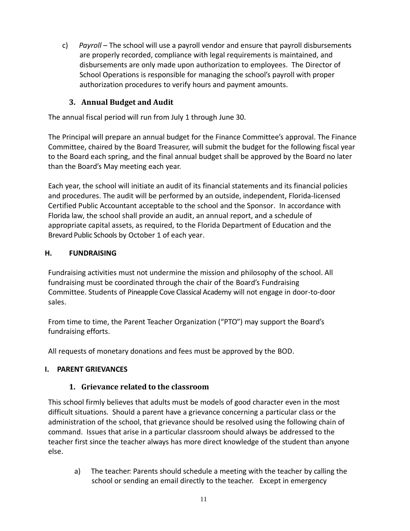c) *Payroll* – The school will use a payroll vendor and ensure that payroll disbursements are properly recorded, compliance with legal requirements is maintained, and disbursements are only made upon authorization to employees. The Director of School Operations is responsible for managing the school's payroll with proper authorization procedures to verify hours and payment amounts.

### **3. Annual Budget and Audit**

<span id="page-10-0"></span>The annual fiscal period will run from July 1 through June 30.

The Principal will prepare an annual budget for the Finance Committee's approval. The Finance Committee, chaired by the Board Treasurer, will submit the budget for the following fiscal year to the Board each spring, and the final annual budget shall be approved by the Board no later than the Board's May meeting each year.

Each year, the school will initiate an audit of its financial statements and its financial policies and procedures. The audit will be performed by an outside, independent, Florida-licensed Certified Public Accountant acceptable to the school and the Sponsor. In accordance with Florida law, the school shall provide an audit, an annual report, and a schedule of appropriate capital assets, as required, to the Florida Department of Education and the Brevard Public Schools by October 1 of each year.

#### <span id="page-10-1"></span>**H. FUNDRAISING**

Fundraising activities must not undermine the mission and philosophy of the school. All fundraising must be coordinated through the chair of the Board's Fundraising Committee. Students of Pineapple Cove Classical Academy will not engage in door-to-door sales.

From time to time, the Parent Teacher Organization ("PTO") may support the Board's fundraising efforts.

All requests of monetary donations and fees must be approved by the BOD.

### <span id="page-10-3"></span><span id="page-10-2"></span>**I. PARENT GRIEVANCES**

### **1. Grievance related to the classroom**

This school firmly believes that adults must be models of good character even in the most difficult situations. Should a parent have a grievance concerning a particular class or the administration of the school, that grievance should be resolved using the following chain of command. Issues that arise in a particular classroom should always be addressed to the teacher first since the teacher always has more direct knowledge of the student than anyone else.

a) The teacher: Parents should schedule a meeting with the teacher by calling the school or sending an email directly to the teacher. Except in emergency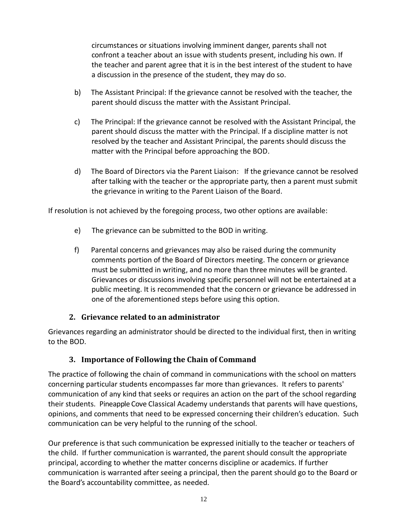circumstances or situations involving imminent danger, parents shall not confront a teacher about an issue with students present, including his own. If the teacher and parent agree that it is in the best interest of the student to have a discussion in the presence of the student, they may do so.

- b) The Assistant Principal: If the grievance cannot be resolved with the teacher, the parent should discuss the matter with the Assistant Principal.
- c) The Principal: If the grievance cannot be resolved with the Assistant Principal, the parent should discuss the matter with the Principal. If a discipline matter is not resolved by the teacher and Assistant Principal, the parents should discuss the matter with the Principal before approaching the BOD.
- d) The Board of Directors via the Parent Liaison: If the grievance cannot be resolved after talking with the teacher or the appropriate party, then a parent must submit the grievance in writing to the Parent Liaison of the Board.

If resolution is not achieved by the foregoing process, two other options are available:

- e) The grievance can be submitted to the BOD in writing.
- f) Parental concerns and grievances may also be raised during the community comments portion of the Board of Directors meeting. The concern or grievance must be submitted in writing, and no more than three minutes will be granted. Grievances or discussions involving specific personnel will not be entertained at a public meeting. It is recommended that the concern or grievance be addressed in one of the aforementioned steps before using this option.

### **2. Grievance related to an administrator**

<span id="page-11-1"></span><span id="page-11-0"></span>Grievances regarding an administrator should be directed to the individual first, then in writing to the BOD.

#### **3. Importance of Following the Chain of Command**

The practice of following the chain of command in communications with the school on matters concerning particular students encompasses far more than grievances. It refers to parents' communication of any kind that seeks or requires an action on the part of the school regarding their students. Pineapple Cove Classical Academy understands that parents will have questions, opinions, and comments that need to be expressed concerning their children's education. Such communication can be very helpful to the running of the school.

Our preference is that such communication be expressed initially to the teacher or teachers of the child. If further communication is warranted, the parent should consult the appropriate principal, according to whether the matter concerns discipline or academics. If further communication is warranted after seeing a principal, then the parent should go to the Board or the Board's accountability committee, as needed.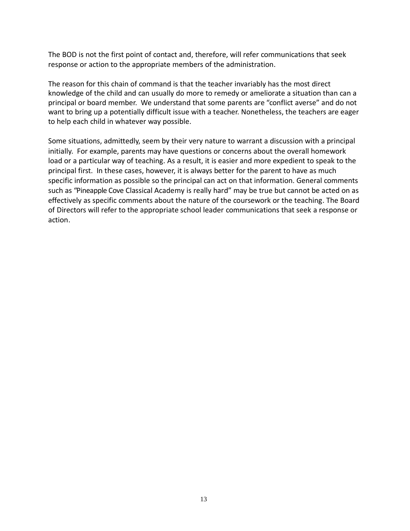The BOD is not the first point of contact and, therefore, will refer communications that seek response or action to the appropriate members of the administration.

The reason for this chain of command is that the teacher invariably has the most direct knowledge of the child and can usually do more to remedy or ameliorate a situation than can a principal or board member. We understand that some parents are "conflict averse" and do not want to bring up a potentially difficult issue with a teacher. Nonetheless, the teachers are eager to help each child in whatever way possible.

Some situations, admittedly, seem by their very nature to warrant a discussion with a principal initially. For example, parents may have questions or concerns about the overall homework load or a particular way of teaching. As a result, it is easier and more expedient to speak to the principal first. In these cases, however, it is always better for the parent to have as much specific information as possible so the principal can act on that information. General comments such as "Pineapple Cove Classical Academy is really hard" may be true but cannot be acted on as effectively as specific comments about the nature of the coursework or the teaching. The Board of Directors will refer to the appropriate school leader communications that seek a response or action.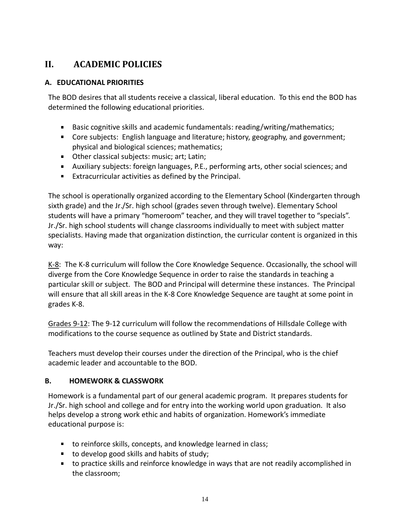# <span id="page-13-0"></span>**II. ACADEMIC POLICIES**

#### <span id="page-13-1"></span>**A. EDUCATIONAL PRIORITIES**

The BOD desires that all students receive a classical, liberal education. To this end the BOD has determined the following educational priorities.

- Basic cognitive skills and academic fundamentals: reading/writing/mathematics;
- Core subjects: English language and literature; history, geography, and government; physical and biological sciences; mathematics;
- **Deta** Other classical subjects: music; art; Latin;
- Auxiliary subjects: foreign languages, P.E., performing arts, other social sciences; and
- Extracurricular activities as defined by the Principal.

The school is operationally organized according to the Elementary School (Kindergarten through sixth grade) and the Jr./Sr. high school (grades seven through twelve). Elementary School students will have a primary "homeroom" teacher, and they will travel together to "specials". Jr./Sr. high school students will change classrooms individually to meet with subject matter specialists. Having made that organization distinction, the curricular content is organized in this way:

K-8: The K-8 curriculum will follow the Core Knowledge Sequence. Occasionally, the school will diverge from the Core Knowledge Sequence in order to raise the standards in teaching a particular skill or subject. The BOD and Principal will determine these instances. The Principal will ensure that all skill areas in the K-8 Core Knowledge Sequence are taught at some point in grades K-8.

Grades 9-12: The 9-12 curriculum will follow the recommendations of Hillsdale College with modifications to the course sequence as outlined by State and District standards.

Teachers must develop their courses under the direction of the Principal, who is the chief academic leader and accountable to the BOD.

#### <span id="page-13-2"></span>**B. HOMEWORK & CLASSWORK**

Homework is a fundamental part of our general academic program. It prepares students for Jr./Sr. high school and college and for entry into the working world upon graduation. It also helps develop a strong work ethic and habits of organization. Homework's immediate educational purpose is:

- to reinforce skills, concepts, and knowledge learned in class;
- to develop good skills and habits of study;
- to practice skills and reinforce knowledge in ways that are not readily accomplished in the classroom;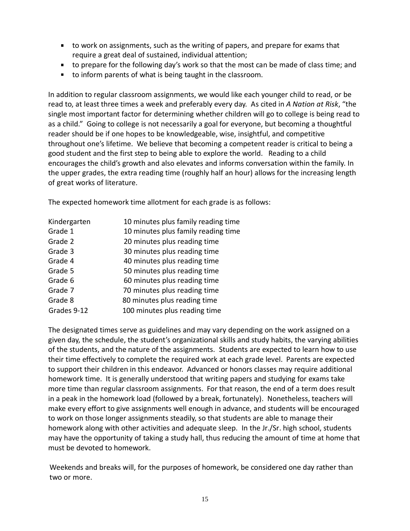- to work on assignments, such as the writing of papers, and prepare for exams that require a great deal of sustained, individual attention;
- to prepare for the following day's work so that the most can be made of class time; and
- to inform parents of what is being taught in the classroom.

In addition to regular classroom assignments, we would like each younger child to read, or be read to, at least three times a week and preferably every day. As cited in *A Nation at Risk*, "the single most important factor for determining whether children will go to college is being read to as a child." Going to college is not necessarily a goal for everyone, but becoming a thoughtful reader should be if one hopes to be knowledgeable, wise, insightful, and competitive throughout one's lifetime. We believe that becoming a competent reader is critical to being a good student and the first step to being able to explore the world. Reading to a child encourages the child's growth and also elevates and informs conversation within the family. In the upper grades, the extra reading time (roughly half an hour) allows for the increasing length of great works of literature.

The expected homework time allotment for each grade is as follows:

| Kindergarten | 10 minutes plus family reading time |
|--------------|-------------------------------------|
| Grade 1      | 10 minutes plus family reading time |
| Grade 2      | 20 minutes plus reading time        |
| Grade 3      | 30 minutes plus reading time        |
| Grade 4      | 40 minutes plus reading time        |
| Grade 5      | 50 minutes plus reading time        |
| Grade 6      | 60 minutes plus reading time        |
| Grade 7      | 70 minutes plus reading time        |
| Grade 8      | 80 minutes plus reading time        |
| Grades 9-12  | 100 minutes plus reading time       |

The designated times serve as guidelines and may vary depending on the work assigned on a given day, the schedule, the student's organizational skills and study habits, the varying abilities of the students, and the nature of the assignments. Students are expected to learn how to use their time effectively to complete the required work at each grade level. Parents are expected to support their children in this endeavor. Advanced or honors classes may require additional homework time. It is generally understood that writing papers and studying for exams take more time than regular classroom assignments. For that reason, the end of a term does result in a peak in the homework load (followed by a break, fortunately). Nonetheless, teachers will make every effort to give assignments well enough in advance, and students will be encouraged to work on those longer assignments steadily, so that students are able to manage their homework along with other activities and adequate sleep. In the Jr./Sr. high school, students may have the opportunity of taking a study hall, thus reducing the amount of time at home that must be devoted to homework.

Weekends and breaks will, for the purposes of homework, be considered one day rather than two or more.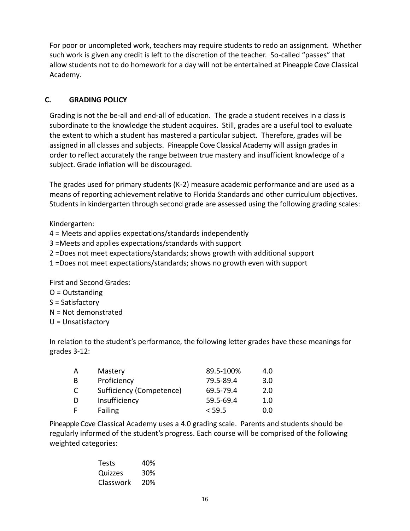For poor or uncompleted work, teachers may require students to redo an assignment. Whether such work is given any credit is left to the discretion of the teacher. So-called "passes" that allow students not to do homework for a day will not be entertained at Pineapple Cove Classical Academy.

### <span id="page-15-0"></span>**C. GRADING POLICY**

Grading is not the be-all and end-all of education. The grade a student receives in a class is subordinate to the knowledge the student acquires. Still, grades are a useful tool to evaluate the extent to which a student has mastered a particular subject. Therefore, grades will be assigned in all classes and subjects. Pineapple Cove Classical Academy will assign grades in order to reflect accurately the range between true mastery and insufficient knowledge of a subject. Grade inflation will be discouraged.

The grades used for primary students (K-2) measure academic performance and are used as a means of reporting achievement relative to Florida Standards and other curriculum objectives. Students in kindergarten through second grade are assessed using the following grading scales:

Kindergarten:

4 = Meets and applies expectations/standards independently

3 =Meets and applies expectations/standards with support

2 =Does not meet expectations/standards; shows growth with additional support

1 =Does not meet expectations/standards; shows no growth even with support

First and Second Grades:

- O = Outstanding
- S = Satisfactory
- N = Not demonstrated
- U = Unsatisfactory

In relation to the student's performance, the following letter grades have these meanings for grades 3-12:

| А | Mastery                  | 89.5-100% | 4.0 |
|---|--------------------------|-----------|-----|
| B | Proficiency              | 79.5-89.4 | 3.0 |
| C | Sufficiency (Competence) | 69.5-79.4 | 2.0 |
| D | Insufficiency            | 59.5-69.4 | 1.0 |
| F | Failing                  | < 59.5    | 0.0 |

Pineapple Cove Classical Academy uses a 4.0 grading scale. Parents and students should be regularly informed of the student's progress. Each course will be comprised of the following weighted categories:

> Tests 40% Quizzes 30% Classwork 20%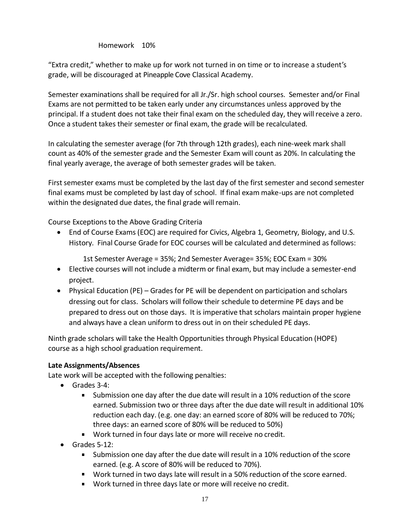#### Homework 10%

"Extra credit," whether to make up for work not turned in on time or to increase a student's grade, will be discouraged at Pineapple Cove Classical Academy.

Semester examinations shall be required for all Jr./Sr. high school courses. Semester and/or Final Exams are not permitted to be taken early under any circumstances unless approved by the principal. If a student does not take their final exam on the scheduled day, they will receive a zero. Once a student takes their semester or final exam, the grade will be recalculated.

In calculating the semester average (for 7th through 12th grades), each nine-week mark shall count as 40% of the semester grade and the Semester Exam will count as 20%. In calculating the final yearly average, the average of both semester grades will be taken.

First semester exams must be completed by the last day of the first semester and second semester final exams must be completed by last day of school. If final exam make-ups are not completed within the designated due dates, the final grade will remain.

Course Exceptions to the Above Grading Criteria

• End of Course Exams (EOC) are required for Civics, Algebra 1, Geometry, Biology, and U.S. History. Final Course Grade for EOC courses will be calculated and determined as follows:

1st Semester Average = 35%; 2nd Semester Average= 35%; EOC Exam = 30%

- Elective courses will not include a midterm or final exam, but may include a semester-end project.
- Physical Education (PE) Grades for PE will be dependent on participation and scholars dressing out for class. Scholars will follow their schedule to determine PE days and be prepared to dress out on those days. It is imperative that scholars maintain proper hygiene and always have a clean uniform to dress out in on their scheduled PE days.

Ninth grade scholars will take the Health Opportunities through Physical Education (HOPE) course as a high school graduation requirement.

#### **Late Assignments/Absences**

Late work will be accepted with the following penalties:

- Grades 3-4:
	- $\blacksquare$ Submission one day after the due date will result in a 10% reduction of the score earned. Submission two or three days after the due date will result in additional 10% reduction each day. (e.g. one day: an earned score of 80% will be reduced to 70%; three days: an earned score of 80% will be reduced to 50%)
	- Work turned in four days late or more will receive no credit.
- Grades 5-12:
	- Submission one day after the due date will result in a 10% reduction of the score earned. (e.g. A score of 80% will be reduced to 70%).
	- Work turned in two days late will result in a 50% reduction of the score earned.
	- Work turned in three days late or more will receive no credit.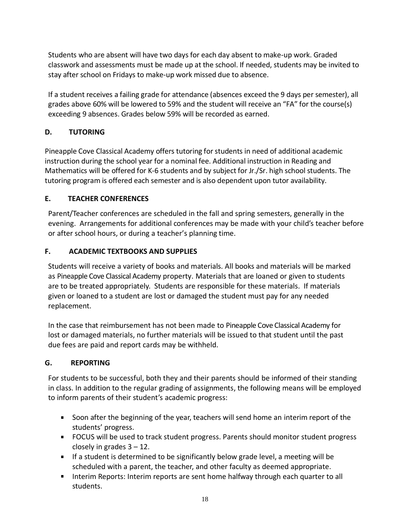Students who are absent will have two days for each day absent to make-up work. Graded classwork and assessments must be made up at the school. If needed, students may be invited to stay after school on Fridays to make-up work missed due to absence.

If a student receives a failing grade for attendance (absences exceed the 9 days per semester), all grades above 60% will be lowered to 59% and the student will receive an "FA" for the course(s) exceeding 9 absences. Grades below 59% will be recorded as earned.

### <span id="page-17-0"></span>**D. TUTORING**

Pineapple Cove Classical Academy offers tutoring for students in need of additional academic instruction during the school year for a nominal fee. Additional instruction in Reading and Mathematics will be offered for K-6 students and by subject for Jr./Sr. high school students. The tutoring program is offered each semester and is also dependent upon tutor availability.

#### <span id="page-17-1"></span>**E. TEACHER CONFERENCES**

Parent/Teacher conferences are scheduled in the fall and spring semesters, generally in the evening. Arrangements for additional conferences may be made with your child's teacher before or after school hours, or during a teacher's planning time.

#### <span id="page-17-2"></span>**F. ACADEMIC TEXTBOOKS AND SUPPLIES**

Students will receive a variety of books and materials. All books and materials will be marked as Pineapple Cove Classical Academy property. Materials that are loaned or given to students are to be treated appropriately. Students are responsible for these materials. If materials given or loaned to a student are lost or damaged the student must pay for any needed replacement.

In the case that reimbursement has not been made to Pineapple Cove Classical Academy for lost or damaged materials, no further materials will be issued to that student until the past due fees are paid and report cards may be withheld.

#### <span id="page-17-3"></span>**G. REPORTING**

For students to be successful, both they and their parents should be informed of their standing in class. In addition to the regular grading of assignments, the following means will be employed to inform parents of their student's academic progress:

- Soon after the beginning of the year, teachers will send home an interim report of the students' progress.
- FOCUS will be used to track student progress. Parents should monitor student progress closely in grades  $3 - 12$ .
- If a student is determined to be significantly below grade level, a meeting will be scheduled with a parent, the teacher, and other faculty as deemed appropriate.
- Interim Reports: Interim reports are sent home halfway through each quarter to all students.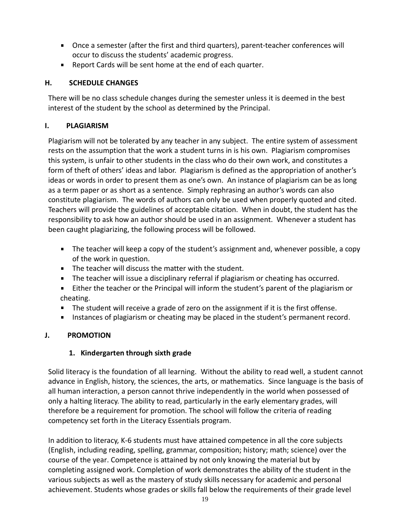- Once a semester (after the first and third quarters), parent-teacher conferences will occur to discuss the students' academic progress.
- **Report Cards will be sent home at the end of each quarter.**

### <span id="page-18-0"></span>**H. SCHEDULE CHANGES**

There will be no class schedule changes during the semester unless it is deemed in the best interest of the student by the school as determined by the Principal.

### <span id="page-18-1"></span>**I. PLAGIARISM**

Plagiarism will not be tolerated by any teacher in any subject. The entire system of assessment rests on the assumption that the work a student turns in is his own. Plagiarism compromises this system, is unfair to other students in the class who do their own work, and constitutes a form of theft of others' ideas and labor. Plagiarism is defined as the appropriation of another's ideas or words in order to present them as one's own. An instance of plagiarism can be as long as a term paper or as short as a sentence. Simply rephrasing an author's words can also constitute plagiarism. The words of authors can only be used when properly quoted and cited. Teachers will provide the guidelines of acceptable citation. When in doubt, the student has the responsibility to ask how an author should be used in an assignment. Whenever a student has been caught plagiarizing, the following process will be followed.

- The teacher will keep a copy of the student's assignment and, whenever possible, a copy of the work in question.
- The teacher will discuss the matter with the student.
- **The teacher will issue a disciplinary referral if plagiarism or cheating has occurred.**
- Either the teacher or the Principal will inform the student's parent of the plagiarism or cheating.
- The student will receive a grade of zero on the assignment if it is the first offense.
- **Instances of plagiarism or cheating may be placed in the student's permanent record.**

### <span id="page-18-3"></span><span id="page-18-2"></span>**J. PROMOTION**

#### **1. Kindergarten through sixth grade**

Solid literacy is the foundation of all learning. Without the ability to read well, a student cannot advance in English, history, the sciences, the arts, or mathematics. Since language is the basis of all human interaction, a person cannot thrive independently in the world when possessed of only a halting literacy. The ability to read, particularly in the early elementary grades, will therefore be a requirement for promotion. The school will follow the criteria of reading competency set forth in the Literacy Essentials program.

In addition to literacy, K-6 students must have attained competence in all the core subjects (English, including reading, spelling, grammar, composition; history; math; science) over the course of the year. Competence is attained by not only knowing the material but by completing assigned work. Completion of work demonstrates the ability of the student in the various subjects as well as the mastery of study skills necessary for academic and personal achievement. Students whose grades or skills fall below the requirements of their grade level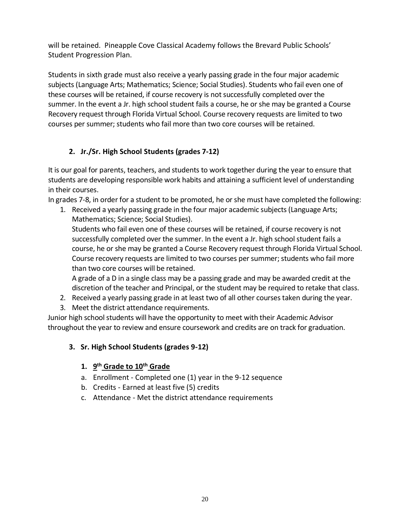will be retained. Pineapple Cove Classical Academy follows the Brevard Public Schools' Student Progression Plan.

Students in sixth grade must also receive a yearly passing grade in the four major academic subjects (Language Arts; Mathematics; Science; Social Studies). Students who fail even one of these courses will be retained, if course recovery is not successfully completed over the summer. In the event a Jr. high school student fails a course, he or she may be granted a Course Recovery request through Florida Virtual School. Course recovery requests are limited to two courses per summer; students who fail more than two core courses will be retained.

### **2. Jr./Sr. High School Students (grades 7-12)**

<span id="page-19-0"></span>It is our goal for parents, teachers, and students to work together during the year to ensure that students are developing responsible work habits and attaining a sufficient level of understanding in their courses.

In grades 7-8, in order for a student to be promoted, he or she must have completed the following:

1. Received a yearly passing grade in the four major academic subjects (Language Arts; Mathematics; Science; Social Studies).

Students who fail even one of these courses will be retained, if course recovery is not successfully completed over the summer. In the event a Jr. high school student fails a course, he or she may be granted a Course Recovery request through Florida Virtual School. Course recovery requests are limited to two courses per summer; students who fail more than two core courses will be retained.

A grade of a D in a single class may be a passing grade and may be awarded credit at the discretion of the teacher and Principal, or the student may be required to retake that class.

- 2. Received a yearly passing grade in at least two of all other courses taken during the year.
- 3. Meet the district attendance requirements.

Junior high school students will have the opportunity to meet with their Academic Advisor throughout the year to review and ensure coursework and credits are on track for graduation.

### **3. Sr. High School Students (grades 9-12)**

### **1. 9 th Grade to 10th Grade**

- a. Enrollment Completed one (1) year in the 9-12 sequence
- b. Credits Earned at least five (5) credits
- c. Attendance Met the district attendance requirements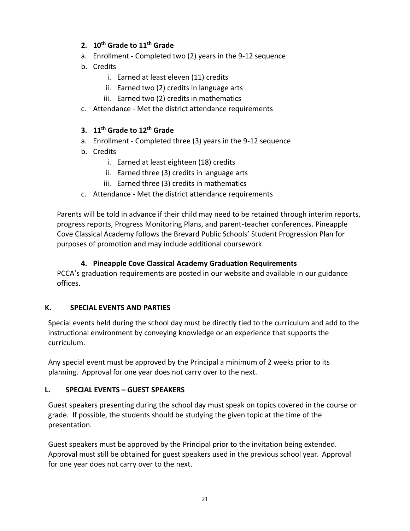### **2. 10th Grade to 11th Grade**

- a. Enrollment Completed two (2) years in the 9-12 sequence
- b. Credits
	- i. Earned at least eleven (11) credits
	- ii. Earned two (2) credits in language arts
	- iii. Earned two (2) credits in mathematics
- c. Attendance Met the district attendance requirements

#### **3. 11th Grade to 12th Grade**

- a. Enrollment Completed three (3) years in the 9-12 sequence
- b. Credits
	- i. Earned at least eighteen (18) credits
	- ii. Earned three (3) credits in language arts
	- iii. Earned three (3) credits in mathematics
- c. Attendance Met the district attendance requirements

Parents will be told in advance if their child may need to be retained through interim reports, progress reports, Progress Monitoring Plans, and parent-teacher conferences. Pineapple Cove Classical Academy follows the Brevard Public Schools' Student Progression Plan for purposes of promotion and may include additional coursework.

#### **4. Pineapple Cove Classical Academy Graduation Requirements**

PCCA's graduation requirements are posted in our website and available in our guidance offices.

#### <span id="page-20-0"></span>**K. SPECIAL EVENTS AND PARTIES**

Special events held during the school day must be directly tied to the curriculum and add to the instructional environment by conveying knowledge or an experience that supports the curriculum.

Any special event must be approved by the Principal a minimum of 2 weeks prior to its planning. Approval for one year does not carry over to the next.

#### <span id="page-20-1"></span>**L. SPECIAL EVENTS – GUEST SPEAKERS**

Guest speakers presenting during the school day must speak on topics covered in the course or grade. If possible, the students should be studying the given topic at the time of the presentation.

Guest speakers must be approved by the Principal prior to the invitation being extended. Approval must still be obtained for guest speakers used in the previous school year. Approval for one year does not carry over to the next.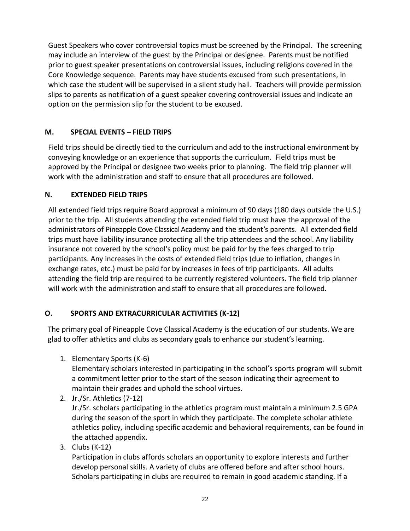Guest Speakers who cover controversial topics must be screened by the Principal. The screening may include an interview of the guest by the Principal or designee. Parents must be notified prior to guest speaker presentations on controversial issues, including religions covered in the Core Knowledge sequence. Parents may have students excused from such presentations, in which case the student will be supervised in a silent study hall. Teachers will provide permission slips to parents as notification of a guest speaker covering controversial issues and indicate an option on the permission slip for the student to be excused.

#### <span id="page-21-0"></span>**M. SPECIAL EVENTS – FIELD TRIPS**

Field trips should be directly tied to the curriculum and add to the instructional environment by conveying knowledge or an experience that supports the curriculum. Field trips must be approved by the Principal or designee two weeks prior to planning. The field trip planner will work with the administration and staff to ensure that all procedures are followed.

#### <span id="page-21-1"></span>**N. EXTENDED FIELD TRIPS**

All extended field trips require Board approval a minimum of 90 days (180 days outside the U.S.) prior to the trip. All students attending the extended field trip must have the approval of the administrators of Pineapple Cove Classical Academy and the student's parents. All extended field trips must have liability insurance protecting all the trip attendees and the school. Any liability insurance not covered by the school's policy must be paid for by the fees charged to trip participants. Any increases in the costs of extended field trips (due to inflation, changes in exchange rates, etc.) must be paid for by increases in fees of trip participants. All adults attending the field trip are required to be currently registered volunteers. The field trip planner will work with the administration and staff to ensure that all procedures are followed.

### <span id="page-21-2"></span>**O. SPORTS AND EXTRACURRICULAR ACTIVITIES (K-12)**

The primary goal of Pineapple Cove Classical Academy is the education of our students. We are glad to offer athletics and clubs as secondary goals to enhance our student's learning.

1. Elementary Sports (K-6)

Elementary scholars interested in participating in the school's sports program will submit a commitment letter prior to the start of the season indicating their agreement to maintain their grades and uphold the school virtues.

2. Jr./Sr. Athletics (7-12)

Jr./Sr. scholars participating in the athletics program must maintain a minimum 2.5 GPA during the season of the sport in which they participate. The complete scholar athlete athletics policy, including specific academic and behavioral requirements, can be found in the attached appendix.

3. Clubs (K-12)

Participation in clubs affords scholars an opportunity to explore interests and further develop personal skills. A variety of clubs are offered before and after school hours. Scholars participating in clubs are required to remain in good academic standing. If a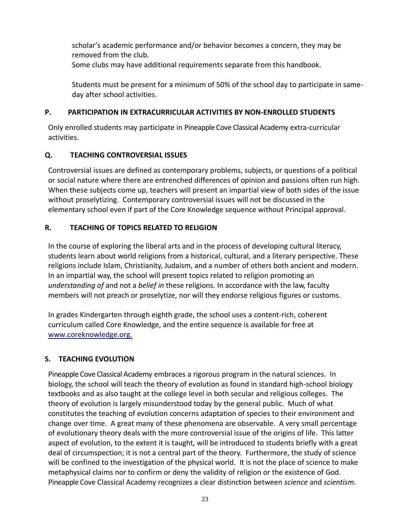scholar's academic performance and/or behavior becomes a concern, they may be removed from the club. Some clubs may have additional requirements separate from this handbook.

Students must be present for a minimum of 50% of the school day to participate in sameday after school activities.

#### <span id="page-22-0"></span>**P. PARTICIPATION IN EXTRACURRICULAR ACTIVITIES BY NON-ENROLLED STUDENTS**

Only enrolled students may participate in Pineapple Cove Classical Academy extra-curricular activities.

### <span id="page-22-1"></span>**Q. TEACHING CONTROVERSIAL ISSUES**

Controversial issues are defined as contemporary problems, subjects, or questions of a political or social nature where there are entrenched differences of opinion and passions often run high. When these subjects come up, teachers will present an impartial view of both sides of the issue without proselytizing. Contemporary controversial issues will not be discussed in the elementary school even if part of the Core Knowledge sequence without Principal approval.

### <span id="page-22-2"></span>**R. TEACHING OF TOPICS RELATED TO RELIGION**

In the course of exploring the liberal arts and in the process of developing cultural literacy, students learn about world religions from a historical, cultural, and a literary perspective. These religions include Islam, Christianity, Judaism, and a number of others both ancient and modern. In an impartial way, the school will present topics related to religion promoting an *understanding of* and not a *belief in* these religions. In accordance with the law, faculty members will not preach or proselytize, nor will they endorse religious figures or customs.

In grades Kindergarten through eighth grade, the school uses a content-rich, coherent curriculum called Core Knowledge, and the entire sequence is available for free at www.coreknowledge.org.

### <span id="page-22-3"></span>**S. TEACHING EVOLUTION**

Pineapple Cove Classical Academy embraces a rigorous program in the natural sciences. In biology, the school will teach the theory of evolution as found in standard high-school biology textbooks and as also taught at the college level in both secular and religious colleges. The theory of evolution is largely misunderstood today by the general public. Much of what constitutes the teaching of evolution concerns adaptation of species to their environment and change over time. A great many of these phenomena are observable. A very small percentage of evolutionary theory deals with the more controversial issue of the origins of life. This latter aspect of evolution, to the extent it is taught, will be introduced to students briefly with a great deal of circumspection; it is not a central part of the theory. Furthermore, the study of science will be confined to the investigation of the physical world. It is not the place of science to make metaphysical claims nor to confirm or deny the validity of religion or the existence of God. Pineapple Cove Classical Academy recognizes a clear distinction between *science* and *scientism*.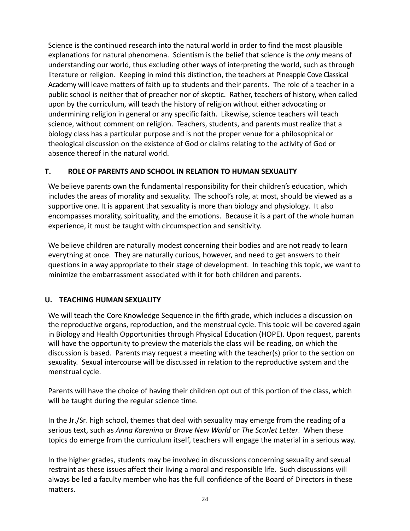Science is the continued research into the natural world in order to find the most plausible explanations for natural phenomena. Scientism is the belief that science is the *only* means of understanding our world, thus excluding other ways of interpreting the world, such as through literature or religion. Keeping in mind this distinction, the teachers at Pineapple Cove Classical Academy will leave matters of faith up to students and their parents. The role of a teacher in a public school is neither that of preacher nor of skeptic. Rather, teachers of history, when called upon by the curriculum, will teach the history of religion without either advocating or undermining religion in general or any specific faith. Likewise, science teachers will teach science, without comment on religion. Teachers, students, and parents must realize that a biology class has a particular purpose and is not the proper venue for a philosophical or theological discussion on the existence of God or claims relating to the activity of God or absence thereof in the natural world.

#### <span id="page-23-0"></span>**T. ROLE OF PARENTS AND SCHOOL IN RELATION TO HUMAN SEXUALITY**

We believe parents own the fundamental responsibility for their children's education, which includes the areas of morality and sexuality. The school's role, at most, should be viewed as a supportive one. It is apparent that sexuality is more than biology and physiology. It also encompasses morality, spirituality, and the emotions. Because it is a part of the whole human experience, it must be taught with circumspection and sensitivity.

We believe children are naturally modest concerning their bodies and are not ready to learn everything at once. They are naturally curious, however, and need to get answers to their questions in a way appropriate to their stage of development. In teaching this topic, we want to minimize the embarrassment associated with it for both children and parents.

#### <span id="page-23-1"></span>**U. TEACHING HUMAN SEXUALITY**

We will teach the Core Knowledge Sequence in the fifth grade, which includes a discussion on the reproductive organs, reproduction, and the menstrual cycle. This topic will be covered again in Biology and Health Opportunities through Physical Education (HOPE). Upon request, parents will have the opportunity to preview the materials the class will be reading, on which the discussion is based. Parents may request a meeting with the teacher(s) prior to the section on sexuality. Sexual intercourse will be discussed in relation to the reproductive system and the menstrual cycle.

Parents will have the choice of having their children opt out of this portion of the class, which will be taught during the regular science time.

In the Jr./Sr. high school, themes that deal with sexuality may emerge from the reading of a serious text, such as *Anna Karenina* or *Brave New World* or *The Scarlet Letter*. When these topics do emerge from the curriculum itself, teachers will engage the material in a serious way.

In the higher grades, students may be involved in discussions concerning sexuality and sexual restraint as these issues affect their living a moral and responsible life. Such discussions will always be led a faculty member who has the full confidence of the Board of Directors in these matters.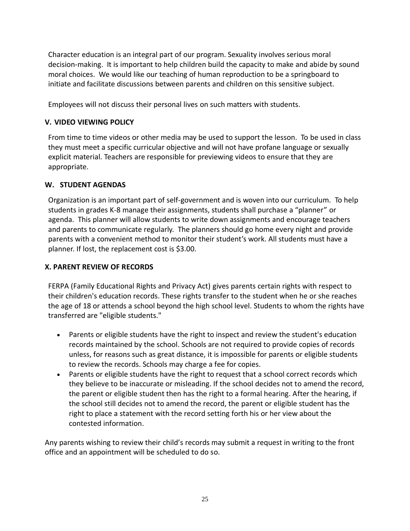Character education is an integral part of our program. Sexuality involves serious moral decision-making. It is important to help children build the capacity to make and abide by sound moral choices. We would like our teaching of human reproduction to be a springboard to initiate and facilitate discussions between parents and children on this sensitive subject.

Employees will not discuss their personal lives on such matters with students.

#### <span id="page-24-0"></span>**V. VIDEO VIEWING POLICY**

From time to time videos or other media may be used to support the lesson. To be used in class they must meet a specific curricular objective and will not have profane language or sexually explicit material. Teachers are responsible for previewing videos to ensure that they are appropriate.

#### <span id="page-24-1"></span>**W. STUDENT AGENDAS**

Organization is an important part of self-government and is woven into our curriculum. To help students in grades K-8 manage their assignments, students shall purchase a "planner" or agenda. This planner will allow students to write down assignments and encourage teachers and parents to communicate regularly. The planners should go home every night and provide parents with a convenient method to monitor their student's work. All students must have a planner. If lost, the replacement cost is \$3.00.

#### <span id="page-24-2"></span>**X. PARENT REVIEW OF RECORDS**

FERPA (Family Educational Rights and Privacy Act) gives parents certain rights with respect to their children's education records. These rights transfer to the student when he or she reaches the age of 18 or attends a school beyond the high school level. Students to whom the rights have transferred are "eligible students."

- Parents or eligible students have the right to inspect and review the student's education records maintained by the school. Schools are not required to provide copies of records unless, for reasons such as great distance, it is impossible for parents or eligible students to review the records. Schools may charge a fee for copies.
- Parents or eligible students have the right to request that a school correct records which they believe to be inaccurate or misleading. If the school decides not to amend the record, the parent or eligible student then has the right to a formal hearing. After the hearing, if the school still decides not to amend the record, the parent or eligible student has the right to place a statement with the record setting forth his or her view about the contested information.

Any parents wishing to review their child's records may submit a request in writing to the front office and an appointment will be scheduled to do so.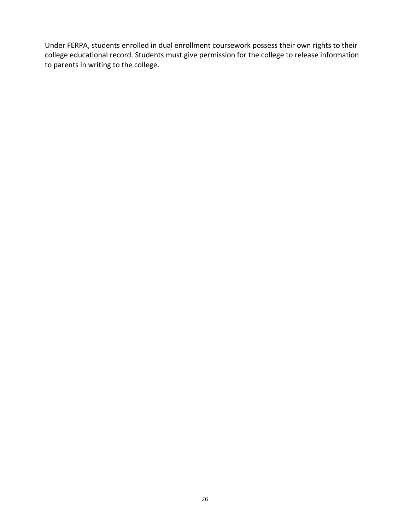Under FERPA, students enrolled in dual enrollment coursework possess their own rights to their college educational record. Students must give permission for the college to release information to parents in writing to the college.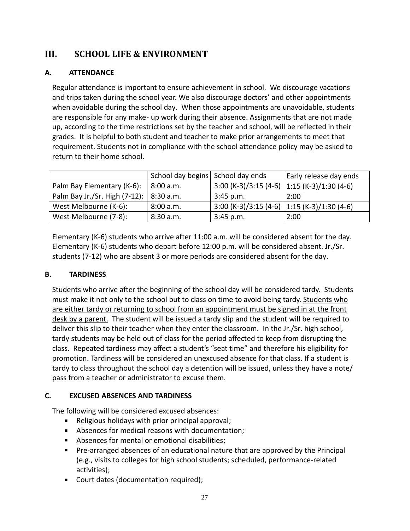# <span id="page-26-0"></span>**III. SCHOOL LIFE & ENVIRONMENT**

#### <span id="page-26-1"></span>**A. ATTENDANCE**

Regular attendance is important to ensure achievement in school. We discourage vacations and trips taken during the school year. We also discourage doctors' and other appointments when avoidable during the school day. When those appointments are unavoidable, students are responsible for any make- up work during their absence. Assignments that are not made up, according to the time restrictions set by the teacher and school, will be reflected in their grades. It is helpful to both student and teacher to make prior arrangements to meet that requirement. Students not in compliance with the school attendance policy may be asked to return to their home school.

|                                           | School day begins School day ends |             | Early release day ends                          |
|-------------------------------------------|-----------------------------------|-------------|-------------------------------------------------|
| Palm Bay Elementary (K-6):                | 8:00 a.m.                         |             | $3:00$ (K-3)/3:15 (4-6) 1:15 (K-3)/1:30 (4-6)   |
| Palm Bay Jr./Sr. High (7-12):   8:30 a.m. |                                   | $3:45$ p.m. | 2:00                                            |
| West Melbourne (K-6):                     | 8:00 a.m.                         |             | $3:00 (K-3)/3:15 (4-6)$ 1:15 $(K-3)/1:30 (4-6)$ |
| West Melbourne (7-8):                     | 8:30a.m.                          | 3:45 p.m.   | 2:00                                            |

Elementary (K-6) students who arrive after 11:00 a.m. will be considered absent for the day. Elementary (K-6) students who depart before 12:00 p.m. will be considered absent. Jr./Sr. students (7-12) who are absent 3 or more periods are considered absent for the day.

#### <span id="page-26-2"></span>**B. TARDINESS**

Students who arrive after the beginning of the school day will be considered tardy. Students must make it not only to the school but to class on time to avoid being tardy. Students who are either tardy or returning to school from an appointment must be signed in at the front desk by a parent. The student will be issued a tardy slip and the student will be required to deliver this slip to their teacher when they enter the classroom. In the Jr./Sr. high school, tardy students may be held out of class for the period affected to keep from disrupting the class. Repeated tardiness may affect a student's "seat time" and therefore his eligibility for promotion. Tardiness will be considered an unexcused absence for that class. If a student is tardy to class throughout the school day a detention will be issued, unless they have a note/ pass from a teacher or administrator to excuse them.

#### <span id="page-26-3"></span>**C. EXCUSED ABSENCES AND TARDINESS**

The following will be considered excused absences:

- Religious holidays with prior principal approval;
- Absences for medical reasons with documentation;
- Absences for mental or emotional disabilities;
- $\mathbf{r}$  . Pre-arranged absences of an educational nature that are approved by the Principal (e.g., visits to colleges for high school students; scheduled, performance-related activities);
- Court dates (documentation required);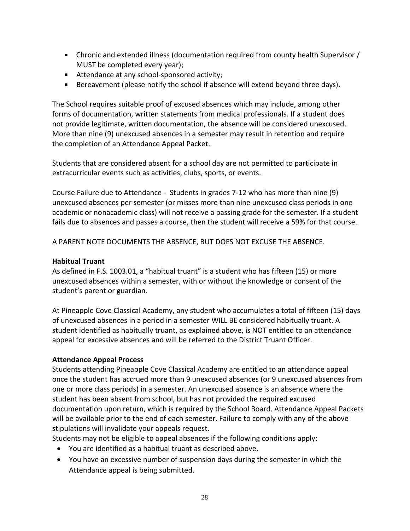- Chronic and extended illness (documentation required from county health Supervisor / MUST be completed every year);
- Attendance at any school-sponsored activity;
- Bereavement (please notify the school if absence will extend beyond three days).

The School requires suitable proof of excused absences which may include, among other forms of documentation, written statements from medical professionals. If a student does not provide legitimate, written documentation, the absence will be considered unexcused. More than nine (9) unexcused absences in a semester may result in retention and require the completion of an Attendance Appeal Packet.

Students that are considered absent for a school day are not permitted to participate in extracurricular events such as activities, clubs, sports, or events.

Course Failure due to Attendance - Students in grades 7-12 who has more than nine (9) unexcused absences per semester (or misses more than nine unexcused class periods in one academic or nonacademic class) will not receive a passing grade for the semester. If a student fails due to absences and passes a course, then the student will receive a 59% for that course.

A PARENT NOTE DOCUMENTS THE ABSENCE, BUT DOES NOT EXCUSE THE ABSENCE.

#### **Habitual Truant**

As defined in F.S. 1003.01, a "habitual truant" is a student who has fifteen (15) or more unexcused absences within a semester, with or without the knowledge or consent of the student's parent or guardian.

At Pineapple Cove Classical Academy, any student who accumulates a total of fifteen (15) days of unexcused absences in a period in a semester WILL BE considered habitually truant. A student identified as habitually truant, as explained above, is NOT entitled to an attendance appeal for excessive absences and will be referred to the District Truant Officer.

#### **Attendance Appeal Process**

Students attending Pineapple Cove Classical Academy are entitled to an attendance appeal once the student has accrued more than 9 unexcused absences (or 9 unexcused absences from one or more class periods) in a semester. An unexcused absence is an absence where the student has been absent from school, but has not provided the required excused documentation upon return, which is required by the School Board. Attendance Appeal Packets will be available prior to the end of each semester. Failure to comply with any of the above stipulations will invalidate your appeals request.

Students may not be eligible to appeal absences if the following conditions apply:

- You are identified as a habitual truant as described above.
- You have an excessive number of suspension days during the semester in which the Attendance appeal is being submitted.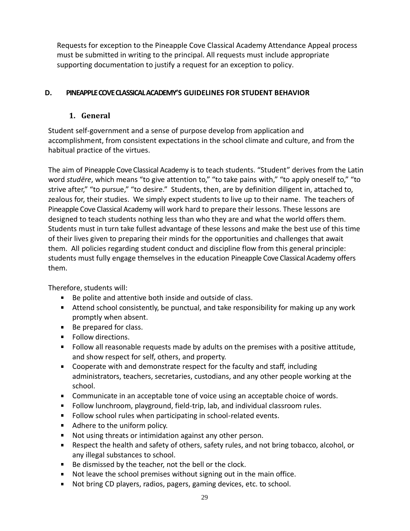Requests for exception to the Pineapple Cove Classical Academy Attendance Appeal process must be submitted in writing to the principal. All requests must include appropriate supporting documentation to justify a request for an exception to policy.

#### <span id="page-28-1"></span><span id="page-28-0"></span>**D. PINEAPPLE COVE CLASSICAL ACADEMY'S GUIDELINES FOR STUDENT BEHAVIOR**

### **1. General**

Student self-government and a sense of purpose develop from application and accomplishment, from consistent expectations in the school climate and culture, and from the habitual practice of the virtues.

The aim of Pineapple Cove Classical Academy is to teach students. "Student" derives from the Latin word *studēre*, which means "to give attention to," "to take pains with," "to apply oneself to," "to strive after," "to pursue," "to desire." Students, then, are by definition diligent in, attached to, zealous for, their studies. We simply expect students to live up to their name. The teachers of Pineapple Cove Classical Academy will work hard to prepare their lessons. These lessons are designed to teach students nothing less than who they are and what the world offers them. Students must in turn take fullest advantage of these lessons and make the best use of this time of their lives given to preparing their minds for the opportunities and challenges that await them. All policies regarding student conduct and discipline flow from this general principle: students must fully engage themselves in the education Pineapple Cove Classical Academy offers them.

Therefore, students will:

- Be polite and attentive both inside and outside of class.
- Attend school consistently, be punctual, and take responsibility for making up any work promptly when absent.
- Be prepared for class.
- **Follow directions.**
- Follow all reasonable requests made by adults on the premises with a positive attitude, and show respect for self, others, and property.
- Cooperate with and demonstrate respect for the faculty and staff, including administrators, teachers, secretaries, custodians, and any other people working at the school.
- **Communicate in an acceptable tone of voice using an acceptable choice of words.**
- Follow lunchroom, playground, field-trip, lab, and individual classroom rules.
- Follow school rules when participating in school-related events.
- Adhere to the uniform policy.
- Not using threats or intimidation against any other person.
- Respect the health and safety of others, safety rules, and not bring tobacco, alcohol, or any illegal substances to school.
- Be dismissed by the teacher, not the bell or the clock.
- Not leave the school premises without signing out in the main office.
- **Not bring CD players, radios, pagers, gaming devices, etc. to school.**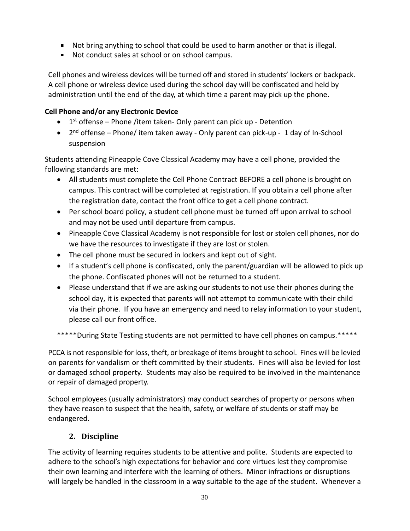- Not bring anything to school that could be used to harm another or that is illegal.
- Not conduct sales at school or on school campus.

Cell phones and wireless devices will be turned off and stored in students' lockers or backpack. A cell phone or wireless device used during the school day will be confiscated and held by administration until the end of the day, at which time a parent may pick up the phone.

### **Cell Phone and/or any Electronic Device**

- $\bullet$  1<sup>st</sup> offense Phone /item taken- Only parent can pick up Detention
- 2<sup>nd</sup> offense Phone/ item taken away Only parent can pick-up 1 day of In-School suspension

Students attending Pineapple Cove Classical Academy may have a cell phone, provided the following standards are met:

- All students must complete the Cell Phone Contract BEFORE a cell phone is brought on campus. This contract will be completed at registration. If you obtain a cell phone after the registration date, contact the front office to get a cell phone contract.
- Per school board policy, a student cell phone must be turned off upon arrival to school and may not be used until departure from campus.
- Pineapple Cove Classical Academy is not responsible for lost or stolen cell phones, nor do we have the resources to investigate if they are lost or stolen.
- The cell phone must be secured in lockers and kept out of sight.
- If a student's cell phone is confiscated, only the parent/guardian will be allowed to pick up the phone. Confiscated phones will not be returned to a student.
- Please understand that if we are asking our students to not use their phones during the school day, it is expected that parents will not attempt to communicate with their child via their phone. If you have an emergency and need to relay information to your student, please call our front office.

\*\*\*\*\*During State Testing students are not permitted to have cell phones on campus.\*\*\*\*\*

PCCA is not responsible for loss, theft, or breakage of items brought to school. Fines will be levied on parents for vandalism or theft committed by their students. Fines will also be levied for lost or damaged school property. Students may also be required to be involved in the maintenance or repair of damaged property.

School employees (usually administrators) may conduct searches of property or persons when they have reason to suspect that the health, safety, or welfare of students or staff may be endangered.

# **2. Discipline**

<span id="page-29-0"></span>The activity of learning requires students to be attentive and polite. Students are expected to adhere to the school's high expectations for behavior and core virtues lest they compromise their own learning and interfere with the learning of others. Minor infractions or disruptions will largely be handled in the classroom in a way suitable to the age of the student. Whenever a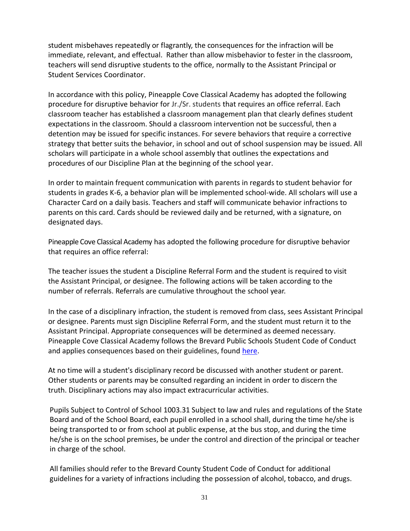student misbehaves repeatedly or flagrantly, the consequences for the infraction will be immediate, relevant, and effectual. Rather than allow misbehavior to fester in the classroom, teachers will send disruptive students to the office, normally to the Assistant Principal or Student Services Coordinator.

In accordance with this policy, Pineapple Cove Classical Academy has adopted the following procedure for disruptive behavior for Jr./Sr. students that requires an office referral. Each classroom teacher has established a classroom management plan that clearly defines student expectations in the classroom. Should a classroom intervention not be successful, then a detention may be issued for specific instances. For severe behaviors that require a corrective strategy that better suits the behavior, in school and out of school suspension may be issued. All scholars will participate in a whole school assembly that outlines the expectations and procedures of our Discipline Plan at the beginning of the school year.

In order to maintain frequent communication with parents in regards to student behavior for students in grades K-6, a behavior plan will be implemented school-wide. All scholars will use a Character Card on a daily basis. Teachers and staff will communicate behavior infractions to parents on this card. Cards should be reviewed daily and be returned, with a signature, on designated days.

Pineapple Cove Classical Academy has adopted the following procedure for disruptive behavior that requires an office referral:

The teacher issues the student a Discipline Referral Form and the student is required to visit the Assistant Principal, or designee. The following actions will be taken according to the number of referrals. Referrals are cumulative throughout the school year.

In the case of a disciplinary infraction, the student is removed from class, sees Assistant Principal or designee. Parents must sign Discipline Referral Form, and the student must return it to the Assistant Principal. Appropriate consequences will be determined as deemed necessary. Pineapple Cove Classical Academy follows the Brevard Public Schools Student Code of Conduct and applies consequences based on their guidelines, found [here.](file:///C:/Users/Tara/Brevard%20Public%20Schools%20Docs/ParentElemBully.pdf)

At no time will a student's disciplinary record be discussed with another student or parent. Other students or parents may be consulted regarding an incident in order to discern the truth. Disciplinary actions may also impact extracurricular activities.

Pupils Subject to Control of School 1003.31 Subject to law and rules and regulations of the State Board and of the School Board, each pupil enrolled in a school shall, during the time he/she is being transported to or from school at public expense, at the bus stop, and during the time he/she is on the school premises, be under the control and direction of the principal or teacher in charge of the school.

All families should refer to the Brevard County Student Code of Conduct for additional guidelines for a variety of infractions including the possession of alcohol, tobacco, and drugs.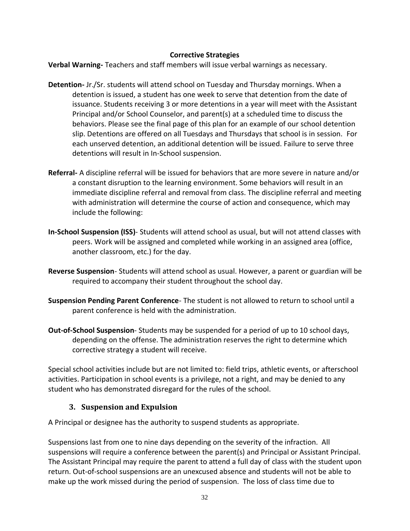#### **Corrective Strategies**

**Verbal Warning-** Teachers and staff members will issue verbal warnings as necessary.

- **Detention-** Jr./Sr. students will attend school on Tuesday and Thursday mornings. When a detention is issued, a student has one week to serve that detention from the date of issuance. Students receiving 3 or more detentions in a year will meet with the Assistant Principal and/or School Counselor, and parent(s) at a scheduled time to discuss the behaviors. Please see the final page of this plan for an example of our school detention slip. Detentions are offered on all Tuesdays and Thursdays that school is in session. For each unserved detention, an additional detention will be issued. Failure to serve three detentions will result in In-School suspension.
- **Referral-** A discipline referral will be issued for behaviors that are more severe in nature and/or a constant disruption to the learning environment. Some behaviors will result in an immediate discipline referral and removal from class. The discipline referral and meeting with administration will determine the course of action and consequence, which may include the following:
- **In-School Suspension (ISS)** Students will attend school as usual, but will not attend classes with peers. Work will be assigned and completed while working in an assigned area (office, another classroom, etc.) for the day.
- **Reverse Suspension** Students will attend school as usual. However, a parent or guardian will be required to accompany their student throughout the school day.
- **Suspension Pending Parent Conference** The student is not allowed to return to school until a parent conference is held with the administration.
- **Out-of-School Suspension** Students may be suspended for a period of up to 10 school days, depending on the offense. The administration reserves the right to determine which corrective strategy a student will receive.

Special school activities include but are not limited to: field trips, athletic events, or afterschool activities. Participation in school events is a privilege, not a right, and may be denied to any student who has demonstrated disregard for the rules of the school.

#### **3. Suspension and Expulsion**

<span id="page-31-0"></span>A Principal or designee has the authority to suspend students as appropriate.

Suspensions last from one to nine days depending on the severity of the infraction. All suspensions will require a conference between the parent(s) and Principal or Assistant Principal. The Assistant Principal may require the parent to attend a full day of class with the student upon return. Out-of-school suspensions are an unexcused absence and students will not be able to make up the work missed during the period of suspension. The loss of class time due to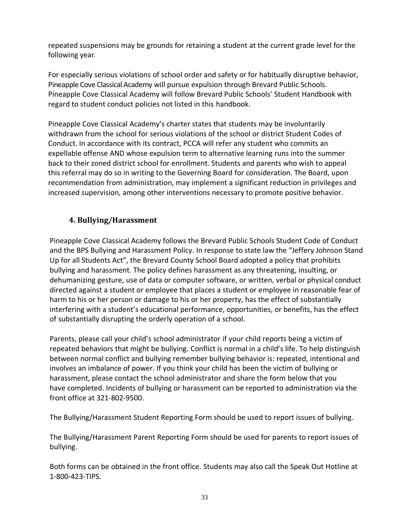repeated suspensions may be grounds for retaining a student at the current grade level for the following year.

For especially serious violations of school order and safety or for habitually disruptive behavior, Pineapple Cove Classical Academy will pursue expulsion through Brevard Public Schools. Pineapple Cove Classical Academy will follow Brevard Public Schools' Student Handbook with regard to student conduct policies not listed in this handbook.

Pineapple Cove Classical Academy's charter states that students may be involuntarily withdrawn from the school for serious violations of the school or district Student Codes of Conduct. In accordance with its contract, PCCA will refer any student who commits an expellable offense AND whose expulsion term to alternative learning runs into the summer back to their zoned district school for enrollment. Students and parents who wish to appeal this referral may do so in writing to the Governing Board for consideration. The Board, upon recommendation from administration, may implement a significant reduction in privileges and increased supervision, among other interventions necessary to promote positive behavior.

### <span id="page-32-0"></span>**4. Bullying/Harassment**

Pineapple Cove Classical Academy follows the Brevard Public Schools Student Code of Conduct and the BPS Bullying and Harassment Policy. In response to state law the "Jeffery Johnson Stand Up for all Students Act", the Brevard County School Board adopted a policy that prohibits bullying and harassment. The policy defines harassment as any threatening, insulting, or dehumanizing gesture, use of data or computer software, or written, verbal or physical conduct directed against a student or employee that places a student or employee in reasonable fear of harm to his or her person or damage to his or her property, has the effect of substantially interfering with a student's educational performance, opportunities, or benefits, has the effect of substantially disrupting the orderly operation of a school.

Parents, please call your child's school administrator if your child reports being a victim of repeated behaviors that might be bullying. Conflict is normal in a child's life. To help distinguish between normal conflict and bullying remember bullying behavior is: repeated, intentional and involves an imbalance of power. If you think your child has been the victim of bullying or harassment, please contact the school administrator and share the form below that you have completed. Incidents of bullying or harassment can be reported to administration via the front office at 321-802-9500.

The Bullying/Harassment Student Reporting Form should be used to report issues of bullying.

The Bullying/Harassment Parent Reporting Form should be used for parents to report issues of bullying.

Both forms can be obtained in the front office. Students may also call the Speak Out Hotline at 1-800-423-TIPS.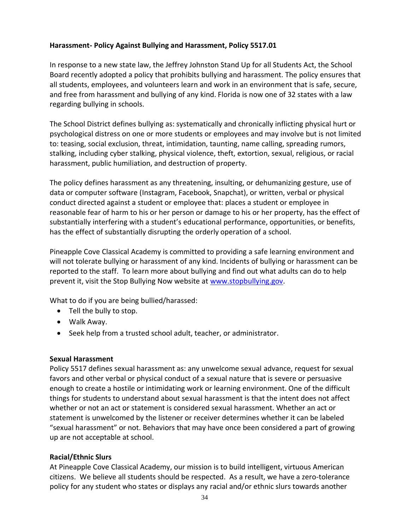#### **Harassment- Policy Against Bullying and Harassment, Policy 5517.01**

In response to a new state law, the Jeffrey Johnston Stand Up for all Students Act, the School Board recently adopted a policy that prohibits bullying and harassment. The policy ensures that all students, employees, and volunteers learn and work in an environment that is safe, secure, and free from harassment and bullying of any kind. Florida is now one of 32 states with a law regarding bullying in schools.

The School District defines bullying as: systematically and chronically inflicting physical hurt or psychological distress on one or more students or employees and may involve but is not limited to: teasing, social exclusion, threat, intimidation, taunting, name calling, spreading rumors, stalking, including cyber stalking, physical violence, theft, extortion, sexual, religious, or racial harassment, public humiliation, and destruction of property.

The policy defines harassment as any threatening, insulting, or dehumanizing gesture, use of data or computer software (Instagram, Facebook, Snapchat), or written, verbal or physical conduct directed against a student or employee that: places a student or employee in reasonable fear of harm to his or her person or damage to his or her property, has the effect of substantially interfering with a student's educational performance, opportunities, or benefits, has the effect of substantially disrupting the orderly operation of a school.

Pineapple Cove Classical Academy is committed to providing a safe learning environment and will not tolerate bullying or harassment of any kind. Incidents of bullying or harassment can be reported to the staff. To learn more about bullying and find out what adults can do to help prevent it, visit the Stop Bullying Now website at [www.stopbullying.gov.](http://www.stopbullying.gov/)

What to do if you are being bullied/harassed:

- Tell the bully to stop.
- Walk Away.
- Seek help from a trusted school adult, teacher, or administrator.

#### **Sexual Harassment**

Policy 5517 defines sexual harassment as: any unwelcome sexual advance, request for sexual favors and other verbal or physical conduct of a sexual nature that is severe or persuasive enough to create a hostile or intimidating work or learning environment. One of the difficult things for students to understand about sexual harassment is that the intent does not affect whether or not an act or statement is considered sexual harassment. Whether an act or statement is unwelcomed by the listener or receiver determines whether it can be labeled "sexual harassment" or not. Behaviors that may have once been considered a part of growing up are not acceptable at school.

#### **Racial/Ethnic Slurs**

At Pineapple Cove Classical Academy, our mission is to build intelligent, virtuous American citizens. We believe all students should be respected. As a result, we have a zero-tolerance policy for any student who states or displays any racial and/or ethnic slurs towards another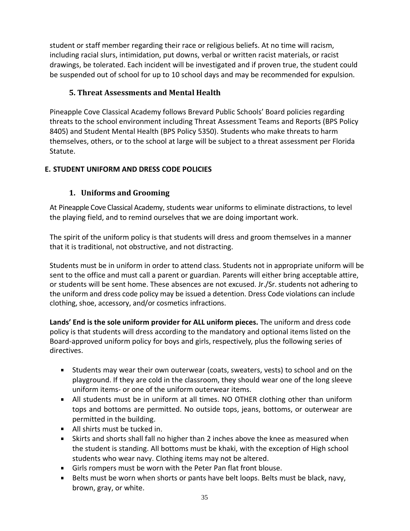student or staff member regarding their race or religious beliefs. At no time will racism, including racial slurs, intimidation, put downs, verbal or written racist materials, or racist drawings, be tolerated. Each incident will be investigated and if proven true, the student could be suspended out of school for up to 10 school days and may be recommended for expulsion.

## <span id="page-34-0"></span>**5. Threat Assessments and Mental Health**

Pineapple Cove Classical Academy follows Brevard Public Schools' Board policies regarding threats to the school environment including Threat Assessment Teams and Reports (BPS Policy 8405) and Student Mental Health (BPS Policy 5350). Students who make threats to harm themselves, others, or to the school at large will be subject to a threat assessment per Florida Statute.

### <span id="page-34-2"></span><span id="page-34-1"></span>**E. STUDENT UNIFORM AND DRESS CODE POLICIES**

# **1. Uniforms and Grooming**

At Pineapple Cove Classical Academy, students wear uniforms to eliminate distractions, to level the playing field, and to remind ourselves that we are doing important work.

The spirit of the uniform policy is that students will dress and groom themselves in a manner that it is traditional, not obstructive, and not distracting.

Students must be in uniform in order to attend class. Students not in appropriate uniform will be sent to the office and must call a parent or guardian. Parents will either bring acceptable attire, or students will be sent home. These absences are not excused. Jr./Sr. students not adhering to the uniform and dress code policy may be issued a detention. Dress Code violations can include clothing, shoe, accessory, and/or cosmetics infractions.

**Lands' End is the sole uniform provider for ALL uniform pieces.** The uniform and dress code policy is that students will dress according to the mandatory and optional items listed on the Board-approved uniform policy for boys and girls, respectively, plus the following series of directives.

- Students may wear their own outerwear (coats, sweaters, vests) to school and on the playground. If they are cold in the classroom, they should wear one of the long sleeve uniform items- or one of the uniform outerwear items.
- All students must be in uniform at all times. NO OTHER clothing other than uniform tops and bottoms are permitted. No outside tops, jeans, bottoms, or outerwear are permitted in the building.
- All shirts must be tucked in.
- Skirts and shorts shall fall no higher than 2 inches above the knee as measured when the student is standing. All bottoms must be khaki, with the exception of High school students who wear navy. Clothing items may not be altered.
- Girls rompers must be worn with the Peter Pan flat front blouse.
- Belts must be worn when shorts or pants have belt loops. Belts must be black, navy, brown, gray, or white.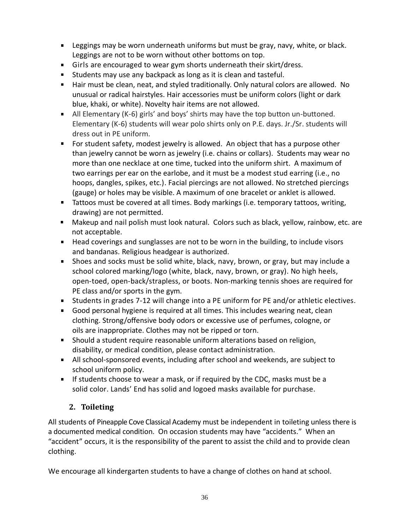- Leggings may be worn underneath uniforms but must be gray, navy, white, or black. Leggings are not to be worn without other bottoms on top.
- Girls are encouraged to wear gym shorts underneath their skirt/dress.
- **Students may use any backpack as long as it is clean and tasteful.**
- Hair must be clean, neat, and styled traditionally. Only natural colors are allowed. No unusual or radical hairstyles. Hair accessories must be uniform colors (light or dark blue, khaki, or white). Novelty hair items are not allowed.
- All Elementary (K-6) girls' and boys' shirts may have the top button un-buttoned. Elementary (K-6) students will wear polo shirts only on P.E. days. Jr./Sr. students will dress out in PE uniform.
- **For student safety, modest jewelry is allowed. An object that has a purpose other** than jewelry cannot be worn as jewelry (i.e. chains or collars). Students may wear no more than one necklace at one time, tucked into the uniform shirt. A maximum of two earrings per ear on the earlobe, and it must be a modest stud earring (i.e., no hoops, dangles, spikes, etc.). Facial piercings are not allowed. No stretched piercings (gauge) or holes may be visible. A maximum of one bracelet or anklet is allowed.
- Tattoos must be covered at all times. Body markings (i.e. temporary tattoos, writing, drawing) are not permitted.
- Makeup and nail polish must look natural. Colors such as black, yellow, rainbow, etc. are not acceptable.
- Head coverings and sunglasses are not to be worn in the building, to include visors and bandanas. Religious headgear is authorized.
- Shoes and socks must be solid white, black, navy, brown, or gray, but may include a school colored marking/logo (white, black, navy, brown, or gray). No high heels, open-toed, open-back/strapless, or boots. Non-marking tennis shoes are required for PE class and/or sports in the gym.
- Students in grades 7-12 will change into a PE uniform for PE and/or athletic electives.
- Good personal hygiene is required at all times. This includes wearing neat, clean clothing. Strong/offensive body odors or excessive use of perfumes, cologne, or oils are inappropriate. Clothes may not be ripped or torn.
- Should a student require reasonable uniform alterations based on religion, disability, or medical condition, please contact administration.
- All school-sponsored events, including after school and weekends, are subject to school uniform policy.
- **If students choose to wear a mask, or if required by the CDC, masks must be a** solid color. Lands' End has solid and logoed masks available for purchase.

# **2. Toileting**

<span id="page-35-0"></span>All students of Pineapple Cove Classical Academy must be independent in toileting unless there is a documented medical condition. On occasion students may have "accidents." When an "accident" occurs, it is the responsibility of the parent to assist the child and to provide clean clothing.

We encourage all kindergarten students to have a change of clothes on hand at school.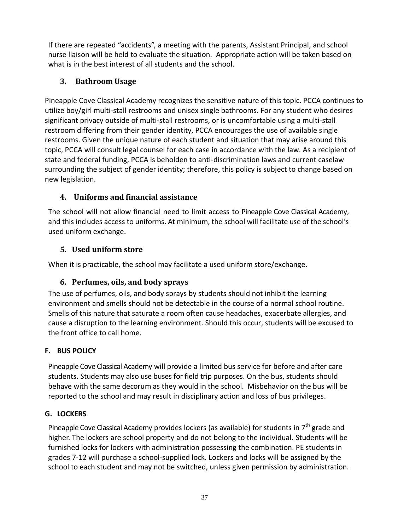If there are repeated "accidents", a meeting with the parents, Assistant Principal, and school nurse liaison will be held to evaluate the situation. Appropriate action will be taken based on what is in the best interest of all students and the school.

# <span id="page-36-0"></span>**3. Bathroom Usage**

Pineapple Cove Classical Academy recognizes the sensitive nature of this topic. PCCA continues to utilize boy/girl multi-stall restrooms and unisex single bathrooms. For any student who desires significant privacy outside of multi-stall restrooms, or is uncomfortable using a multi-stall restroom differing from their gender identity, PCCA encourages the use of available single restrooms. Given the unique nature of each student and situation that may arise around this topic, PCCA will consult legal counsel for each case in accordance with the law. As a recipient of state and federal funding, PCCA is beholden to anti-discrimination laws and current caselaw surrounding the subject of gender identity; therefore, this policy is subject to change based on new legislation.

# <span id="page-36-1"></span>**4. Uniforms and financial assistance**

The school will not allow financial need to limit access to Pineapple Cove Classical Academy, and this includes access to uniforms. At minimum, the school will facilitate use of the school's used uniform exchange.

# <span id="page-36-2"></span>**5. Used uniform store**

<span id="page-36-3"></span>When it is practicable, the school may facilitate a used uniform store/exchange.

# **6. Perfumes, oils, and body sprays**

The use of perfumes, oils, and body sprays by students should not inhibit the learning environment and smells should not be detectable in the course of a normal school routine. Smells of this nature that saturate a room often cause headaches, exacerbate allergies, and cause a disruption to the learning environment. Should this occur, students will be excused to the front office to call home.

# <span id="page-36-4"></span>**F. BUS POLICY**

Pineapple Cove Classical Academy will provide a limited bus service for before and after care students. Students may also use buses for field trip purposes. On the bus, students should behave with the same decorum as they would in the school. Misbehavior on the bus will be reported to the school and may result in disciplinary action and loss of bus privileges.

# <span id="page-36-5"></span>**G. LOCKERS**

Pineapple Cove Classical Academy provides lockers (as available) for students in 7<sup>th</sup> grade and higher. The lockers are school property and do not belong to the individual. Students will be furnished locks for lockers with administration possessing the combination. PE students in grades 7-12 will purchase a school-supplied lock. Lockers and locks will be assigned by the school to each student and may not be switched, unless given permission by administration.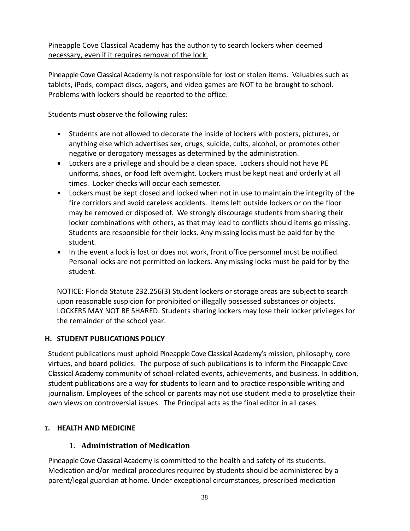### Pineapple Cove Classical Academy has the authority to search lockers when deemed necessary, even if it requires removal of the lock.

Pineapple Cove Classical Academy is not responsible for lost or stolen items. Valuables such as tablets, iPods, compact discs, pagers, and video games are NOT to be brought to school. Problems with lockers should be reported to the office.

Students must observe the following rules:

- Students are not allowed to decorate the inside of lockers with posters, pictures, or  $\mathbf{m}$ anything else which advertises sex, drugs, suicide, cults, alcohol, or promotes other negative or derogatory messages as determined by the administration.
- Lockers are a privilege and should be a clean space. Lockers should not have PE uniforms, shoes, or food left overnight. Lockers must be kept neat and orderly at all times. Locker checks will occur each semester.
- Lockers must be kept closed and locked when not in use to maintain the integrity of the fire corridors and avoid careless accidents. Items left outside lockers or on the floor may be removed or disposed of. We strongly discourage students from sharing their locker combinations with others, as that may lead to conflicts should items go missing. Students are responsible for their locks. Any missing locks must be paid for by the student.
- In the event a lock is lost or does not work, front office personnel must be notified. Personal locks are not permitted on lockers. Any missing locks must be paid for by the student.

NOTICE: Florida Statute 232.256(3) Student lockers or storage areas are subject to search upon reasonable suspicion for prohibited or illegally possessed substances or objects. LOCKERS MAY NOT BE SHARED. Students sharing lockers may lose their locker privileges for the remainder of the school year.

### <span id="page-37-0"></span>**H. STUDENT PUBLICATIONS POLICY**

Student publications must uphold Pineapple Cove Classical Academy's mission, philosophy, core virtues, and board policies. The purpose of such publications is to inform the Pineapple Cove Classical Academy community of school-related events, achievements, and business. In addition, student publications are a way for students to learn and to practice responsible writing and journalism. Employees of the school or parents may not use student media to proselytize their own views on controversial issues. The Principal acts as the final editor in all cases.

#### <span id="page-37-2"></span><span id="page-37-1"></span>**I. HEALTH AND MEDICINE**

### **1. Administration of Medication**

Pineapple Cove Classical Academy is committed to the health and safety of its students. Medication and/or medical procedures required by students should be administered by a parent/legal guardian at home. Under exceptional circumstances, prescribed medication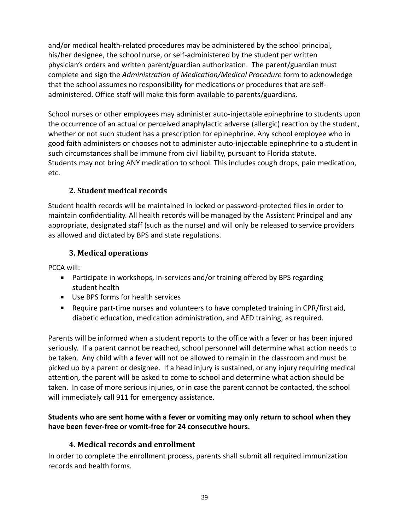and/or medical health-related procedures may be administered by the school principal, his/her designee, the school nurse, or self-administered by the student per written physician's orders and written parent/guardian authorization. The parent/guardian must complete and sign the *Administration of Medication/Medical Procedure* form to acknowledge that the school assumes no responsibility for medications or procedures that are selfadministered. Office staff will make this form available to parents/guardians.

School nurses or other employees may administer auto-injectable epinephrine to students upon the occurrence of an actual or perceived anaphylactic adverse (allergic) reaction by the student, whether or not such student has a prescription for epinephrine. Any school employee who in good faith administers or chooses not to administer auto-injectable epinephrine to a student in such circumstances shall be immune from civil liability, pursuant to Florida statute. Students may not bring ANY medication to school. This includes cough drops, pain medication, etc.

### **2. Student medical records**

<span id="page-38-0"></span>Student health records will be maintained in locked or password-protected files in order to maintain confidentiality. All health records will be managed by the Assistant Principal and any appropriate, designated staff (such as the nurse) and will only be released to service providers as allowed and dictated by BPS and state regulations.

### **3. Medical operations**

<span id="page-38-1"></span>PCCA will:

- Participate in workshops, in-services and/or training offered by BPS regarding student health
- Use BPS forms for health services
- Require part-time nurses and volunteers to have completed training in CPR/first aid, diabetic education, medication administration, and AED training, as required.

Parents will be informed when a student reports to the office with a fever or has been injured seriously. If a parent cannot be reached, school personnel will determine what action needs to be taken. Any child with a fever will not be allowed to remain in the classroom and must be picked up by a parent or designee. If a head injury is sustained, or any injury requiring medical attention, the parent will be asked to come to school and determine what action should be taken. In case of more serious injuries, or in case the parent cannot be contacted, the school will immediately call 911 for emergency assistance.

### <span id="page-38-2"></span>**Students who are sent home with a fever or vomiting may only return to school when they have been fever-free or vomit-free for 24 consecutive hours.**

### **4. Medical records and enrollment**

In order to complete the enrollment process, parents shall submit all required immunization records and health forms.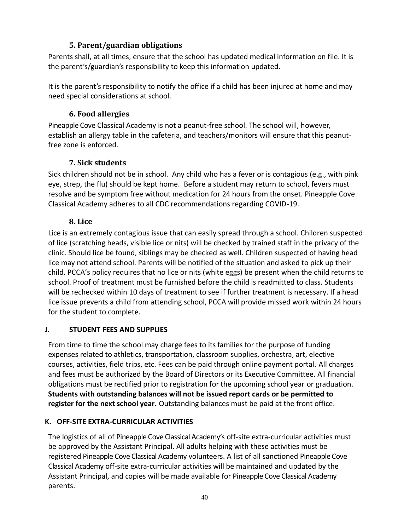### **5. Parent/guardian obligations**

<span id="page-39-0"></span>Parents shall, at all times, ensure that the school has updated medical information on file. It is the parent's/guardian's responsibility to keep this information updated.

It is the parent's responsibility to notify the office if a child has been injured at home and may need special considerations at school.

### **6. Food allergies**

<span id="page-39-1"></span>Pineapple Cove Classical Academy is not a peanut-free school. The school will, however, establish an allergy table in the cafeteria, and teachers/monitors will ensure that this peanutfree zone is enforced.

# **7. Sick students**

<span id="page-39-2"></span>Sick children should not be in school. Any child who has a fever or is contagious (e.g., with pink eye, strep, the flu) should be kept home. Before a student may return to school, fevers must resolve and be symptom free without medication for 24 hours from the onset. Pineapple Cove Classical Academy adheres to all CDC recommendations regarding COVID-19.

### **8. Lice**

<span id="page-39-3"></span>Lice is an extremely contagious issue that can easily spread through a school. Children suspected of lice (scratching heads, visible lice or nits) will be checked by trained staff in the privacy of the clinic. Should lice be found, siblings may be checked as well. Children suspected of having head lice may not attend school. Parents will be notified of the situation and asked to pick up their child. PCCA's policy requires that no lice or nits (white eggs) be present when the child returns to school. Proof of treatment must be furnished before the child is readmitted to class. Students will be rechecked within 10 days of treatment to see if further treatment is necessary. If a head lice issue prevents a child from attending school, PCCA will provide missed work within 24 hours for the student to complete.

### <span id="page-39-4"></span>**J. STUDENT FEES AND SUPPLIES**

From time to time the school may charge fees to its families for the purpose of funding expenses related to athletics, transportation, classroom supplies, orchestra, art, elective courses, activities, field trips, etc. Fees can be paid through online payment portal. All charges and fees must be authorized by the Board of Directors or its Executive Committee. All financial obligations must be rectified prior to registration for the upcoming school year or graduation. **Students with outstanding balances will not be issued report cards or be permitted to register for the next school year.** Outstanding balances must be paid at the front office.

# <span id="page-39-5"></span>**K. OFF-SITE EXTRA-CURRICULAR ACTIVITIES**

The logistics of all of Pineapple Cove Classical Academy's off-site extra-curricular activities must be approved by the Assistant Principal. All adults helping with these activities must be registered Pineapple Cove Classical Academy volunteers. A list of all sanctioned Pineapple Cove Classical Academy off-site extra-curricular activities will be maintained and updated by the Assistant Principal, and copies will be made available for Pineapple Cove Classical Academy parents.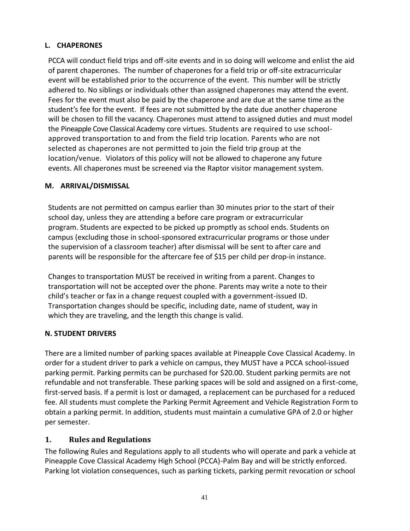#### <span id="page-40-0"></span>**L. CHAPERONES**

PCCA will conduct field trips and off-site events and in so doing will welcome and enlist the aid of parent chaperones. The number of chaperones for a field trip or off-site extracurricular event will be established prior to the occurrence of the event. This number will be strictly adhered to. No siblings or individuals other than assigned chaperones may attend the event. Fees for the event must also be paid by the chaperone and are due at the same time as the student's fee for the event. If fees are not submitted by the date due another chaperone will be chosen to fill the vacancy. Chaperones must attend to assigned duties and must model the Pineapple Cove Classical Academy core virtues. Students are required to use schoolapproved transportation to and from the field trip location. Parents who are not selected as chaperones are not permitted to join the field trip group at the location/venue. Violators of this policy will not be allowed to chaperone any future events. All chaperones must be screened via the Raptor visitor management system.

### <span id="page-40-1"></span>**M. ARRIVAL/DISMISSAL**

Students are not permitted on campus earlier than 30 minutes prior to the start of their school day, unless they are attending a before care program or extracurricular program. Students are expected to be picked up promptly as school ends. Students on campus (excluding those in school-sponsored extracurricular programs or those under the supervision of a classroom teacher) after dismissal will be sent to after care and parents will be responsible for the aftercare fee of \$15 per child per drop-in instance.

Changes to transportation MUST be received in writing from a parent. Changes to transportation will not be accepted over the phone. Parents may write a note to their child's teacher or fax in a change request coupled with a government-issued ID. Transportation changes should be specific, including date, name of student, way in which they are traveling, and the length this change is valid.

### <span id="page-40-2"></span>**N. STUDENT DRIVERS**

There are a limited number of parking spaces available at Pineapple Cove Classical Academy. In order for a student driver to park a vehicle on campus, they MUST have a PCCA school-issued parking permit. Parking permits can be purchased for \$20.00. Student parking permits are not refundable and not transferable. These parking spaces will be sold and assigned on a first-come, first-served basis. If a permit is lost or damaged, a replacement can be purchased for a reduced fee. All students must complete the Parking Permit Agreement and Vehicle Registration Form to obtain a parking permit. In addition, students must maintain a cumulative GPA of 2.0 or higher per semester.

### <span id="page-40-3"></span>**1. Rules and Regulations**

The following Rules and Regulations apply to all students who will operate and park a vehicle at Pineapple Cove Classical Academy High School (PCCA)-Palm Bay and will be strictly enforced. Parking lot violation consequences, such as parking tickets, parking permit revocation or school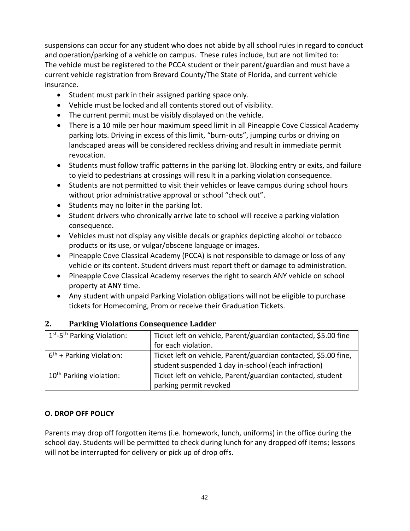suspensions can occur for any student who does not abide by all school rules in regard to conduct and operation/parking of a vehicle on campus. These rules include, but are not limited to: The vehicle must be registered to the PCCA student or their parent/guardian and must have a current vehicle registration from Brevard County/The State of Florida, and current vehicle insurance.

- Student must park in their assigned parking space only.
- Vehicle must be locked and all contents stored out of visibility.
- The current permit must be visibly displayed on the vehicle.
- There is a 10 mile per hour maximum speed limit in all Pineapple Cove Classical Academy parking lots. Driving in excess of this limit, "burn-outs", jumping curbs or driving on landscaped areas will be considered reckless driving and result in immediate permit revocation.
- Students must follow traffic patterns in the parking lot. Blocking entry or exits, and failure to yield to pedestrians at crossings will result in a parking violation consequence.
- Students are not permitted to visit their vehicles or leave campus during school hours without prior administrative approval or school "check out".
- Students may no loiter in the parking lot.
- Student drivers who chronically arrive late to school will receive a parking violation consequence.
- Vehicles must not display any visible decals or graphics depicting alcohol or tobacco products or its use, or vulgar/obscene language or images.
- Pineapple Cove Classical Academy (PCCA) is not responsible to damage or loss of any vehicle or its content. Student drivers must report theft or damage to administration.
- Pineapple Cove Classical Academy reserves the right to search ANY vehicle on school property at ANY time.
- Any student with unpaid Parking Violation obligations will not be eligible to purchase tickets for Homecoming, Prom or receive their Graduation Tickets.

| 1 <sup>st</sup> -5 <sup>th</sup> Parking Violation: | Ticket left on vehicle, Parent/guardian contacted, \$5.00 fine  |
|-----------------------------------------------------|-----------------------------------------------------------------|
|                                                     | for each violation.                                             |
| $6th$ + Parking Violation:                          | Ticket left on vehicle, Parent/guardian contacted, \$5.00 fine, |
|                                                     | student suspended 1 day in-school (each infraction)             |
| 10 <sup>th</sup> Parking violation:                 | Ticket left on vehicle, Parent/guardian contacted, student      |
|                                                     | parking permit revoked                                          |

### <span id="page-41-0"></span>**2. Parking Violations Consequence Ladder**

#### <span id="page-41-1"></span>**O. DROP OFF POLICY**

Parents may drop off forgotten items (i.e. homework, lunch, uniforms) in the office during the school day. Students will be permitted to check during lunch for any dropped off items; lessons will not be interrupted for delivery or pick up of drop offs.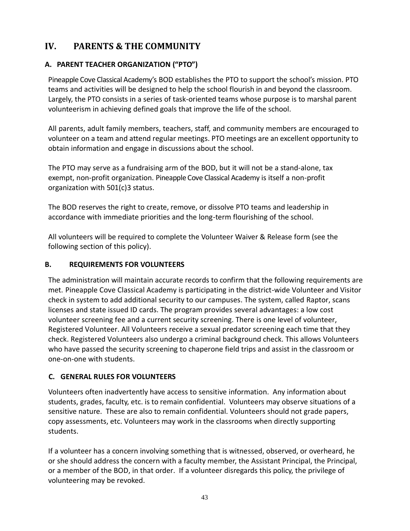# <span id="page-42-0"></span>**IV. PARENTS & THE COMMUNITY**

## <span id="page-42-1"></span>**A. PARENT TEACHER ORGANIZATION ("PTO")**

Pineapple Cove Classical Academy's BOD establishes the PTO to support the school's mission. PTO teams and activities will be designed to help the school flourish in and beyond the classroom. Largely, the PTO consists in a series of task-oriented teams whose purpose is to marshal parent volunteerism in achieving defined goals that improve the life of the school.

All parents, adult family members, teachers, staff, and community members are encouraged to volunteer on a team and attend regular meetings. PTO meetings are an excellent opportunity to obtain information and engage in discussions about the school.

The PTO may serve as a fundraising arm of the BOD, but it will not be a stand-alone, tax exempt, non-profit organization. Pineapple Cove Classical Academy is itself a non-profit organization with 501(c)3 status.

The BOD reserves the right to create, remove, or dissolve PTO teams and leadership in accordance with immediate priorities and the long-term flourishing of the school.

All volunteers will be required to complete the Volunteer Waiver & Release form (see the following section of this policy).

#### <span id="page-42-2"></span>**B. REQUIREMENTS FOR VOLUNTEERS**

The administration will maintain accurate records to confirm that the following requirements are met. Pineapple Cove Classical Academy is participating in the district-wide Volunteer and Visitor check in system to add additional security to our campuses. The system, called Raptor, scans licenses and state issued ID cards. The program provides several advantages: a low cost volunteer screening fee and a current security screening. There is one level of volunteer, Registered Volunteer. All Volunteers receive a sexual predator screening each time that they check. Registered Volunteers also undergo a criminal background check. This allows Volunteers who have passed the security screening to chaperone field trips and assist in the classroom or one-on-one with students.

#### <span id="page-42-3"></span> **C. GENERAL RULES FOR VOLUNTEERS**

Volunteers often inadvertently have access to sensitive information. Any information about students, grades, faculty, etc. is to remain confidential. Volunteers may observe situations of a sensitive nature. These are also to remain confidential. Volunteers should not grade papers, copy assessments, etc. Volunteers may work in the classrooms when directly supporting students.

If a volunteer has a concern involving something that is witnessed, observed, or overheard, he or she should address the concern with a faculty member, the Assistant Principal, the Principal, or a member of the BOD, in that order. If a volunteer disregards this policy, the privilege of volunteering may be revoked.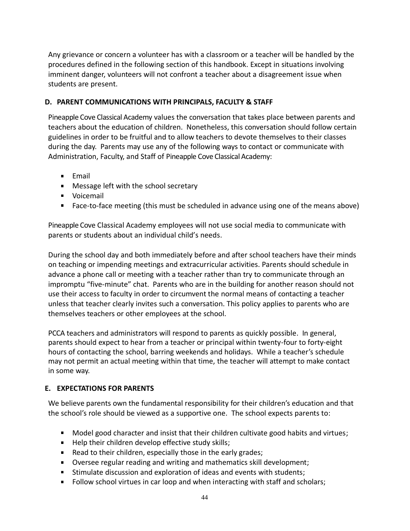Any grievance or concern a volunteer has with a classroom or a teacher will be handled by the procedures defined in the following section of this handbook. Except in situations involving imminent danger, volunteers will not confront a teacher about a disagreement issue when students are present.

#### <span id="page-43-0"></span>**D. PARENT COMMUNICATIONS WITH PRINCIPALS, FACULTY & STAFF**

Pineapple Cove Classical Academy values the conversation that takes place between parents and teachers about the education of children. Nonetheless, this conversation should follow certain guidelines in order to be fruitful and to allow teachers to devote themselves to their classes during the day. Parents may use any of the following ways to contact or communicate with Administration, Faculty, and Staff of Pineapple Cove Classical Academy:

- $F$ mail
- **Message left with the school secretary**
- **voicemail**
- Face-to-face meeting (this must be scheduled in advance using one of the means above)

Pineapple Cove Classical Academy employees will not use social media to communicate with parents or students about an individual child's needs.

During the school day and both immediately before and after school teachers have their minds on teaching or impending meetings and extracurricular activities. Parents should schedule in advance a phone call or meeting with a teacher rather than try to communicate through an impromptu "five-minute" chat. Parents who are in the building for another reason should not use their access to faculty in order to circumvent the normal means of contacting a teacher unless that teacher clearly invites such a conversation. This policy applies to parents who are themselves teachers or other employees at the school.

PCCA teachers and administrators will respond to parents as quickly possible. In general, parents should expect to hear from a teacher or principal within twenty-four to forty-eight hours of contacting the school, barring weekends and holidays. While a teacher's schedule may not permit an actual meeting within that time, the teacher will attempt to make contact in some way.

#### <span id="page-43-1"></span>**E. EXPECTATIONS FOR PARENTS**

We believe parents own the fundamental responsibility for their children's education and that the school's role should be viewed as a supportive one. The school expects parents to:

- Model good character and insist that their children cultivate good habits and virtues;
- Help their children develop effective study skills;
- Read to their children, especially those in the early grades;
- Oversee regular reading and writing and mathematics skill development;
- **Stimulate discussion and exploration of ideas and events with students;**
- Follow school virtues in car loop and when interacting with staff and scholars;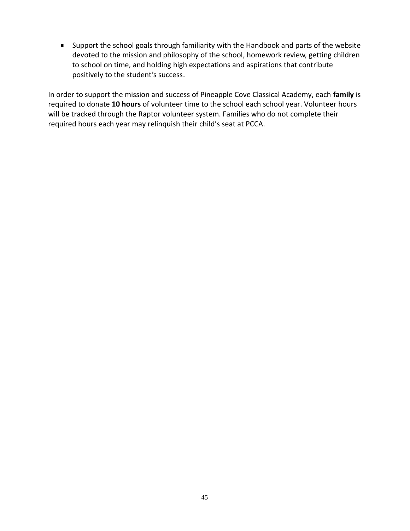Support the school goals through familiarity with the Handbook and parts of the website devoted to the mission and philosophy of the school, homework review, getting children to school on time, and holding high expectations and aspirations that contribute positively to the student's success.

In order to support the mission and success of Pineapple Cove Classical Academy, each **family** is required to donate **10 hours** of volunteer time to the school each school year. Volunteer hours will be tracked through the Raptor volunteer system. Families who do not complete their required hours each year may relinquish their child's seat at PCCA.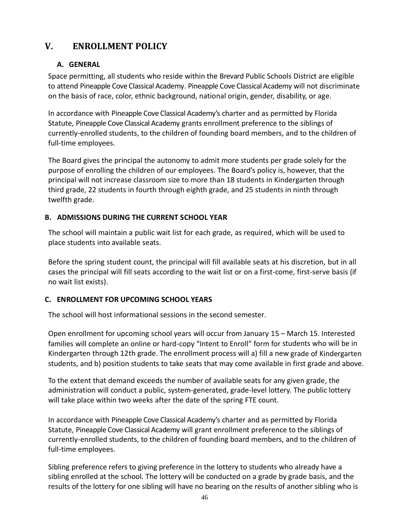# <span id="page-45-1"></span><span id="page-45-0"></span>**V. ENROLLMENT POLICY**

### **A. GENERAL**

Space permitting, all students who reside within the Brevard Public Schools District are eligible to attend Pineapple Cove Classical Academy. Pineapple Cove Classical Academy will not discriminate on the basis of race, color, ethnic background, national origin, gender, disability, or age.

In accordance with Pineapple Cove Classical Academy's charter and as permitted by Florida Statute, Pineapple Cove Classical Academy grants enrollment preference to the siblings of currently-enrolled students, to the children of founding board members, and to the children of full-time employees.

The Board gives the principal the autonomy to admit more students per grade solely for the purpose of enrolling the children of our employees. The Board's policy is, however, that the principal will not increase classroom size to more than 18 students in Kindergarten through third grade, 22 students in fourth through eighth grade, and 25 students in ninth through twelfth grade.

#### <span id="page-45-2"></span>**B. ADMISSIONS DURING THE CURRENT SCHOOL YEAR**

The school will maintain a public wait list for each grade, as required, which will be used to place students into available seats.

Before the spring student count, the principal will fill available seats at his discretion, but in all cases the principal will fill seats according to the wait list or on a first-come, first-serve basis (if no wait list exists).

#### <span id="page-45-3"></span>**C. ENROLLMENT FOR UPCOMING SCHOOL YEARS**

The school will host informational sessions in the second semester.

Open enrollment for upcoming school years will occur from January 15 – March 15. Interested families will complete an online or hard-copy "Intent to Enroll" form for students who will be in Kindergarten through 12th grade. The enrollment process will a) fill a new grade of Kindergarten students, and b) position students to take seats that may come available in first grade and above.

To the extent that demand exceeds the number of available seats for any given grade, the administration will conduct a public, system-generated, grade-level lottery. The public lottery will take place within two weeks after the date of the spring FTE count.

In accordance with Pineapple Cove Classical Academy's charter and as permitted by Florida Statute, Pineapple Cove Classical Academy will grant enrollment preference to the siblings of currently-enrolled students, to the children of founding board members, and to the children of full-time employees.

Sibling preference refers to giving preference in the lottery to students who already have a sibling enrolled at the school. The lottery will be conducted on a grade by grade basis, and the results of the lottery for one sibling will have no bearing on the results of another sibling who is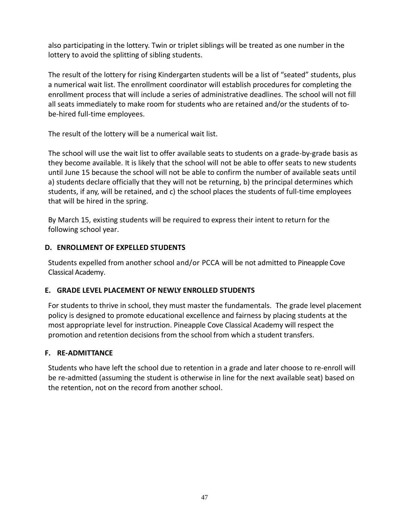also participating in the lottery. Twin or triplet siblings will be treated as one number in the lottery to avoid the splitting of sibling students.

The result of the lottery for rising Kindergarten students will be a list of "seated" students, plus a numerical wait list. The enrollment coordinator will establish procedures for completing the enrollment process that will include a series of administrative deadlines. The school will not fill all seats immediately to make room for students who are retained and/or the students of tobe-hired full-time employees.

The result of the lottery will be a numerical wait list.

The school will use the wait list to offer available seats to students on a grade-by-grade basis as they become available. It is likely that the school will not be able to offer seats to new students until June 15 because the school will not be able to confirm the number of available seats until a) students declare officially that they will not be returning, b) the principal determines which students, if any, will be retained, and c) the school places the students of full-time employees that will be hired in the spring.

By March 15, existing students will be required to express their intent to return for the following school year.

#### <span id="page-46-0"></span>**D. ENROLLMENT OF EXPELLED STUDENTS**

Students expelled from another school and/or PCCA will be not admitted to Pineapple Cove Classical Academy.

#### <span id="page-46-1"></span>**E. GRADE LEVEL PLACEMENT OF NEWLY ENROLLED STUDENTS**

For students to thrive in school, they must master the fundamentals. The grade level placement policy is designed to promote educational excellence and fairness by placing students at the most appropriate level for instruction. Pineapple Cove Classical Academy will respect the promotion and retention decisions from the school from which a student transfers.

#### <span id="page-46-2"></span>**F. RE-ADMITTANCE**

Students who have left the school due to retention in a grade and later choose to re-enroll will be re-admitted (assuming the student is otherwise in line for the next available seat) based on the retention, not on the record from another school.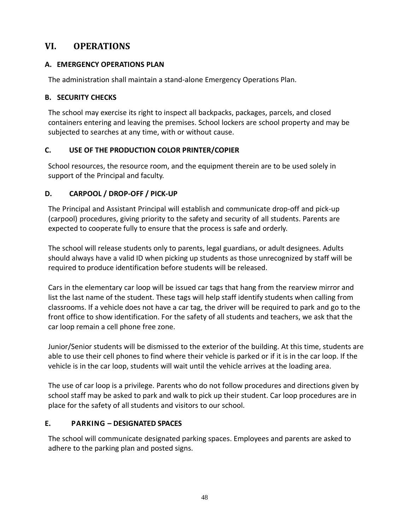# <span id="page-47-0"></span>**VI. OPERATIONS**

### <span id="page-47-1"></span>**A. EMERGENCY OPERATIONS PLAN**

The administration shall maintain a stand-alone Emergency Operations Plan.

### <span id="page-47-2"></span>**B. SECURITY CHECKS**

The school may exercise its right to inspect all backpacks, packages, parcels, and closed containers entering and leaving the premises. School lockers are school property and may be subjected to searches at any time, with or without cause.

### <span id="page-47-3"></span>**C. USE OF THE PRODUCTION COLOR PRINTER/COPIER**

School resources, the resource room, and the equipment therein are to be used solely in support of the Principal and faculty.

### <span id="page-47-4"></span>**D. CARPOOL / DROP-OFF / PICK-UP**

The Principal and Assistant Principal will establish and communicate drop-off and pick-up (carpool) procedures, giving priority to the safety and security of all students. Parents are expected to cooperate fully to ensure that the process is safe and orderly.

The school will release students only to parents, legal guardians, or adult designees. Adults should always have a valid ID when picking up students as those unrecognized by staff will be required to produce identification before students will be released.

Cars in the elementary car loop will be issued car tags that hang from the rearview mirror and list the last name of the student. These tags will help staff identify students when calling from classrooms. If a vehicle does not have a car tag, the driver will be required to park and go to the front office to show identification. For the safety of all students and teachers, we ask that the car loop remain a cell phone free zone.

Junior/Senior students will be dismissed to the exterior of the building. At this time, students are able to use their cell phones to find where their vehicle is parked or if it is in the car loop. If the vehicle is in the car loop, students will wait until the vehicle arrives at the loading area.

The use of car loop is a privilege. Parents who do not follow procedures and directions given by school staff may be asked to park and walk to pick up their student. Car loop procedures are in place for the safety of all students and visitors to our school.

### <span id="page-47-5"></span>**E. PARKING – DESIGNATED SPACES**

The school will communicate designated parking spaces. Employees and parents are asked to adhere to the parking plan and posted signs.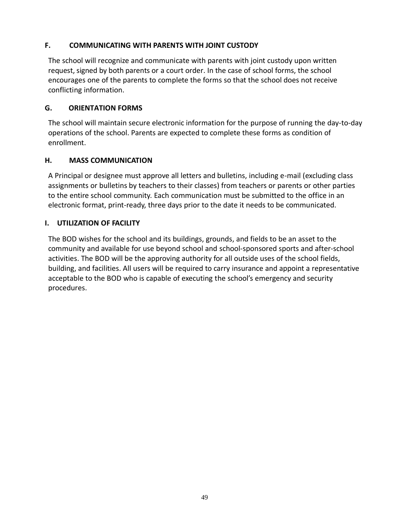#### <span id="page-48-0"></span>**F. COMMUNICATING WITH PARENTS WITH JOINT CUSTODY**

The school will recognize and communicate with parents with joint custody upon written request, signed by both parents or a court order. In the case of school forms, the school encourages one of the parents to complete the forms so that the school does not receive conflicting information.

#### <span id="page-48-1"></span>**G. ORIENTATION FORMS**

The school will maintain secure electronic information for the purpose of running the day-to-day operations of the school. Parents are expected to complete these forms as condition of enrollment.

#### <span id="page-48-2"></span>**H. MASS COMMUNICATION**

A Principal or designee must approve all letters and bulletins, including e-mail (excluding class assignments or bulletins by teachers to their classes) from teachers or parents or other parties to the entire school community. Each communication must be submitted to the office in an electronic format, print-ready, three days prior to the date it needs to be communicated.

#### <span id="page-48-3"></span>**I. UTILIZATION OF FACILITY**

The BOD wishes for the school and its buildings, grounds, and fields to be an asset to the community and available for use beyond school and school-sponsored sports and after-school activities. The BOD will be the approving authority for all outside uses of the school fields, building, and facilities. All users will be required to carry insurance and appoint a representative acceptable to the BOD who is capable of executing the school's emergency and security procedures.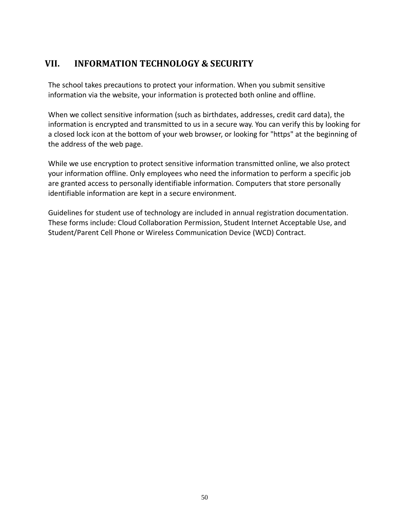# <span id="page-49-0"></span>**VII. INFORMATION TECHNOLOGY & SECURITY**

The school takes precautions to protect your information. When you submit sensitive information via the website, your information is protected both online and offline.

When we collect sensitive information (such as birthdates, addresses, credit card data), the information is encrypted and transmitted to us in a secure way. You can verify this by looking for a closed lock icon at the bottom of your web browser, or looking for "https" at the beginning of the address of the web page.

While we use encryption to protect sensitive information transmitted online, we also protect your information offline. Only employees who need the information to perform a specific job are granted access to personally identifiable information. Computers that store personally identifiable information are kept in a secure environment.

Guidelines for student use of technology are included in annual registration documentation. These forms include: Cloud Collaboration Permission, Student Internet Acceptable Use, and Student/Parent Cell Phone or Wireless Communication Device (WCD) Contract.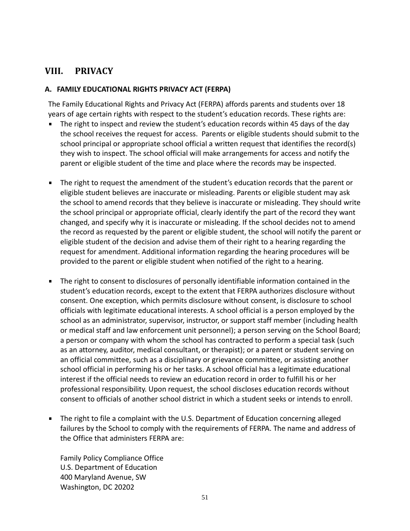# <span id="page-50-0"></span>**VIII. PRIVACY**

#### <span id="page-50-1"></span>**A. FAMILY EDUCATIONAL RIGHTS PRIVACY ACT (FERPA)**

The Family Educational Rights and Privacy Act (FERPA) affords parents and students over 18 years of age certain rights with respect to the student's education records. These rights are:

- The right to inspect and review the student's education records within 45 days of the day the school receives the request for access. Parents or eligible students should submit to the school principal or appropriate school official a written request that identifies the record(s) they wish to inspect. The school official will make arrangements for access and notify the parent or eligible student of the time and place where the records may be inspected.
- The right to request the amendment of the student's education records that the parent or  $\blacksquare$ eligible student believes are inaccurate or misleading. Parents or eligible student may ask the school to amend records that they believe is inaccurate or misleading. They should write the school principal or appropriate official, clearly identify the part of the record they want changed, and specify why it is inaccurate or misleading. If the school decides not to amend the record as requested by the parent or eligible student, the school will notify the parent or eligible student of the decision and advise them of their right to a hearing regarding the request for amendment. Additional information regarding the hearing procedures will be provided to the parent or eligible student when notified of the right to a hearing.
- The right to consent to disclosures of personally identifiable information contained in the student's education records, except to the extent that FERPA authorizes disclosure without consent. One exception, which permits disclosure without consent, is disclosure to school officials with legitimate educational interests. A school official is a person employed by the school as an administrator, supervisor, instructor, or support staff member (including health or medical staff and law enforcement unit personnel); a person serving on the School Board; a person or company with whom the school has contracted to perform a special task (such as an attorney, auditor, medical consultant, or therapist); or a parent or student serving on an official committee, such as a disciplinary or grievance committee, or assisting another school official in performing his or her tasks. A school official has a legitimate educational interest if the official needs to review an education record in order to fulfill his or her professional responsibility. Upon request, the school discloses education records without consent to officials of another school district in which a student seeks or intends to enroll.
- The right to file a complaint with the U.S. Department of Education concerning alleged failures by the School to comply with the requirements of FERPA. The name and address of the Office that administers FERPA are:

Family Policy Compliance Office U.S. Department of Education 400 Maryland Avenue, SW Washington, DC 20202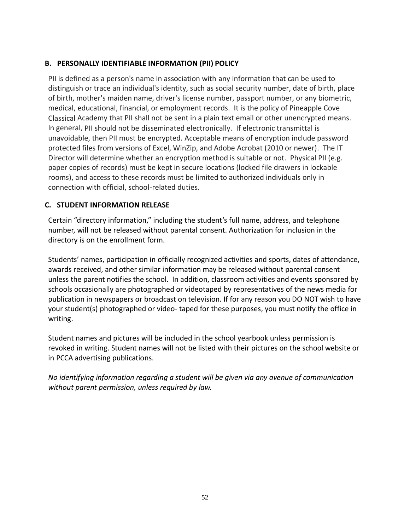#### <span id="page-51-0"></span>**B. PERSONALLY IDENTIFIABLE INFORMATION (PII) POLICY**

PII is defined as a person's name in association with any information that can be used to distinguish or trace an individual's identity, such as social security number, date of birth, place of birth, mother's maiden name, driver's license number, passport number, or any biometric, medical, educational, financial, or employment records. It is the policy of Pineapple Cove Classical Academy that PII shall not be sent in a plain text email or other unencrypted means. In general, PII should not be disseminated electronically. If electronic transmittal is unavoidable, then PII must be encrypted. Acceptable means of encryption include password protected files from versions of Excel, WinZip, and Adobe Acrobat (2010 or newer). The IT Director will determine whether an encryption method is suitable or not. Physical PII (e.g. paper copies of records) must be kept in secure locations (locked file drawers in lockable rooms), and access to these records must be limited to authorized individuals only in connection with official, school-related duties.

#### <span id="page-51-1"></span>**C. STUDENT INFORMATION RELEASE**

Certain "directory information," including the student's full name, address, and telephone number, will not be released without parental consent. Authorization for inclusion in the directory is on the enrollment form.

Students' names, participation in officially recognized activities and sports, dates of attendance, awards received, and other similar information may be released without parental consent unless the parent notifies the school. In addition, classroom activities and events sponsored by schools occasionally are photographed or videotaped by representatives of the news media for publication in newspapers or broadcast on television. If for any reason you DO NOT wish to have your student(s) photographed or video- taped for these purposes, you must notify the office in writing.

Student names and pictures will be included in the school yearbook unless permission is revoked in writing. Student names will not be listed with their pictures on the school website or in PCCA advertising publications.

*No identifying information regarding a student will be given via any avenue of communication without parent permission, unless required by law.*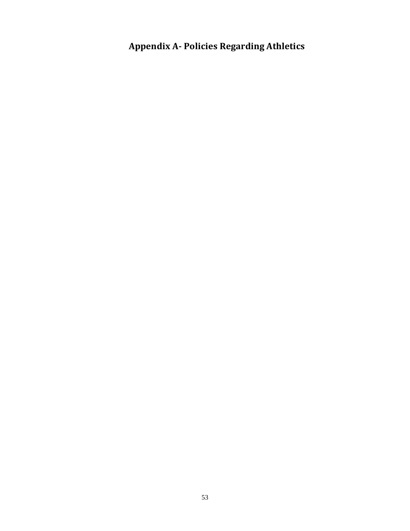<span id="page-52-0"></span>**Appendix A- Policies Regarding Athletics**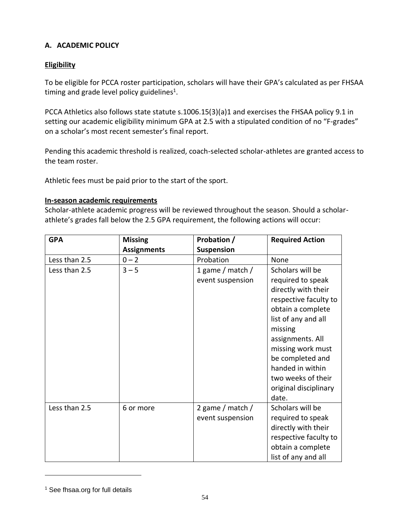#### <span id="page-53-0"></span>**A. ACADEMIC POLICY**

### **Eligibility**

To be eligible for PCCA roster participation, scholars will have their GPA's calculated as per FHSAA timing and grade level policy guidelines<sup>1</sup>.

PCCA Athletics also follows state statute s.1006.15(3)(a)1 and exercises the FHSAA policy 9.1 in setting our academic eligibility minimum GPA at 2.5 with a stipulated condition of no "F-grades" on a scholar's most recent semester's final report.

Pending this academic threshold is realized, coach-selected scholar-athletes are granted access to the team roster.

Athletic fees must be paid prior to the start of the sport.

#### **In-season academic requirements**

Scholar-athlete academic progress will be reviewed throughout the season. Should a scholarathlete's grades fall below the 2.5 GPA requirement, the following actions will occur:

| <b>GPA</b>    | <b>Missing</b>     | Probation /       | <b>Required Action</b> |
|---------------|--------------------|-------------------|------------------------|
|               | <b>Assignments</b> | <b>Suspension</b> |                        |
| Less than 2.5 | $0 - 2$            | Probation         | None                   |
| Less than 2.5 | $3 - 5$            | 1 game / match /  | Scholars will be       |
|               |                    | event suspension  | required to speak      |
|               |                    |                   | directly with their    |
|               |                    |                   | respective faculty to  |
|               |                    |                   | obtain a complete      |
|               |                    |                   | list of any and all    |
|               |                    |                   | missing                |
|               |                    |                   | assignments. All       |
|               |                    |                   | missing work must      |
|               |                    |                   | be completed and       |
|               |                    |                   | handed in within       |
|               |                    |                   | two weeks of their     |
|               |                    |                   | original disciplinary  |
|               |                    |                   | date.                  |
| Less than 2.5 | 6 or more          | 2 game / match /  | Scholars will be       |
|               |                    | event suspension  | required to speak      |
|               |                    |                   | directly with their    |
|               |                    |                   | respective faculty to  |
|               |                    |                   | obtain a complete      |
|               |                    |                   | list of any and all    |

<sup>&</sup>lt;sup>1</sup> See fhsaa.org for full details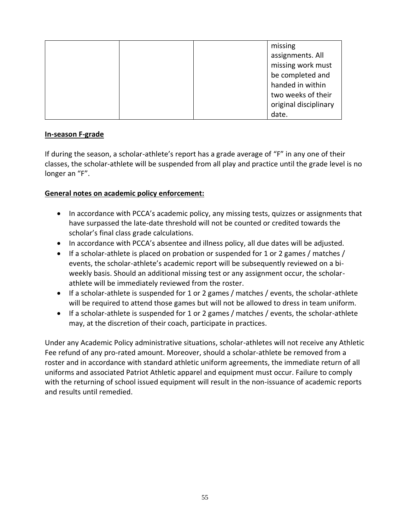|  | missing               |
|--|-----------------------|
|  | assignments. All      |
|  | missing work must     |
|  | be completed and      |
|  | handed in within      |
|  | two weeks of their    |
|  | original disciplinary |
|  | date.                 |

#### **In-season F-grade**

If during the season, a scholar-athlete's report has a grade average of "F" in any one of their classes, the scholar-athlete will be suspended from all play and practice until the grade level is no longer an "F".

#### **General notes on academic policy enforcement:**

- In accordance with PCCA's academic policy, any missing tests, quizzes or assignments that have surpassed the late-date threshold will not be counted or credited towards the scholar's final class grade calculations.
- In accordance with PCCA's absentee and illness policy, all due dates will be adjusted.
- If a scholar-athlete is placed on probation or suspended for 1 or 2 games / matches / events, the scholar-athlete's academic report will be subsequently reviewed on a biweekly basis. Should an additional missing test or any assignment occur, the scholarathlete will be immediately reviewed from the roster.
- If a scholar-athlete is suspended for 1 or 2 games / matches / events, the scholar-athlete will be required to attend those games but will not be allowed to dress in team uniform.
- If a scholar-athlete is suspended for 1 or 2 games / matches / events, the scholar-athlete may, at the discretion of their coach, participate in practices.

Under any Academic Policy administrative situations, scholar-athletes will not receive any Athletic Fee refund of any pro-rated amount. Moreover, should a scholar-athlete be removed from a roster and in accordance with standard athletic uniform agreements, the immediate return of all uniforms and associated Patriot Athletic apparel and equipment must occur. Failure to comply with the returning of school issued equipment will result in the non-issuance of academic reports and results until remedied.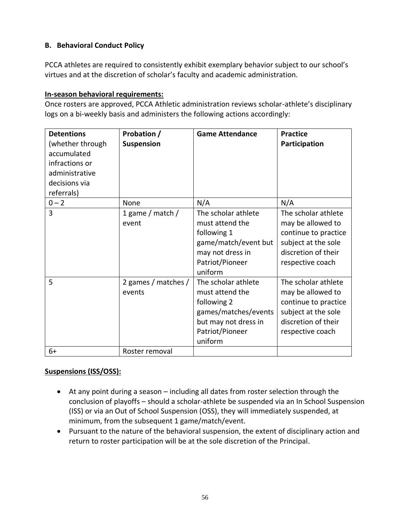#### <span id="page-55-0"></span>**B. Behavioral Conduct Policy**

PCCA athletes are required to consistently exhibit exemplary behavior subject to our school's virtues and at the discretion of scholar's faculty and academic administration.

#### **In-season behavioral requirements:**

Once rosters are approved, PCCA Athletic administration reviews scholar-athlete's disciplinary logs on a bi-weekly basis and administers the following actions accordingly:

| <b>Detentions</b><br>(whether through<br>accumulated<br>infractions or<br>administrative<br>decisions via<br>referrals) | Probation /<br>Suspension     | <b>Game Attendance</b>                                                                                                              | <b>Practice</b><br>Participation                                                                                                   |
|-------------------------------------------------------------------------------------------------------------------------|-------------------------------|-------------------------------------------------------------------------------------------------------------------------------------|------------------------------------------------------------------------------------------------------------------------------------|
| $0 - 2$                                                                                                                 | None                          | N/A                                                                                                                                 | N/A                                                                                                                                |
| 3                                                                                                                       | 1 game / match /<br>event     | The scholar athlete<br>must attend the<br>following 1<br>game/match/event but<br>may not dress in<br>Patriot/Pioneer<br>uniform     | The scholar athlete<br>may be allowed to<br>continue to practice<br>subject at the sole<br>discretion of their<br>respective coach |
| 5                                                                                                                       | 2 games / matches /<br>events | The scholar athlete<br>must attend the<br>following 2<br>games/matches/events<br>but may not dress in<br>Patriot/Pioneer<br>uniform | The scholar athlete<br>may be allowed to<br>continue to practice<br>subject at the sole<br>discretion of their<br>respective coach |
| $6+$                                                                                                                    | Roster removal                |                                                                                                                                     |                                                                                                                                    |

### **Suspensions (ISS/OSS):**

- At any point during a season including all dates from roster selection through the conclusion of playoffs – should a scholar-athlete be suspended via an In School Suspension (ISS) or via an Out of School Suspension (OSS), they will immediately suspended, at minimum, from the subsequent 1 game/match/event.
- Pursuant to the nature of the behavioral suspension, the extent of disciplinary action and return to roster participation will be at the sole discretion of the Principal.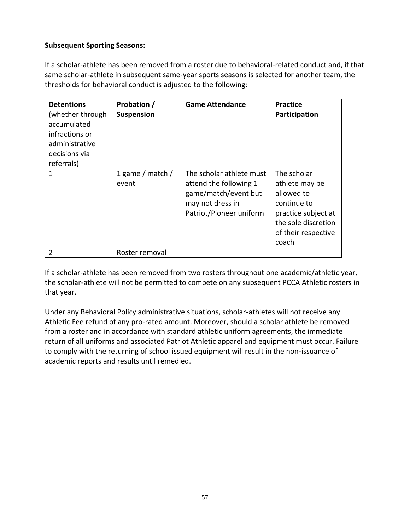#### **Subsequent Sporting Seasons:**

If a scholar-athlete has been removed from a roster due to behavioral-related conduct and, if that same scholar-athlete in subsequent same-year sports seasons is selected for another team, the thresholds for behavioral conduct is adjusted to the following:

| <b>Detentions</b><br>(whether through<br>accumulated<br>infractions or<br>administrative<br>decisions via<br>referrals) | Probation /<br>Suspension | <b>Game Attendance</b>                                                                                                    | <b>Practice</b><br>Participation                                                                                                         |
|-------------------------------------------------------------------------------------------------------------------------|---------------------------|---------------------------------------------------------------------------------------------------------------------------|------------------------------------------------------------------------------------------------------------------------------------------|
| 1                                                                                                                       | 1 game / match /<br>event | The scholar athlete must<br>attend the following 1<br>game/match/event but<br>may not dress in<br>Patriot/Pioneer uniform | The scholar<br>athlete may be<br>allowed to<br>continue to<br>practice subject at<br>the sole discretion<br>of their respective<br>coach |
| $\overline{2}$                                                                                                          | Roster removal            |                                                                                                                           |                                                                                                                                          |

If a scholar-athlete has been removed from two rosters throughout one academic/athletic year, the scholar-athlete will not be permitted to compete on any subsequent PCCA Athletic rosters in that year.

Under any Behavioral Policy administrative situations, scholar-athletes will not receive any Athletic Fee refund of any pro-rated amount. Moreover, should a scholar athlete be removed from a roster and in accordance with standard athletic uniform agreements, the immediate return of all uniforms and associated Patriot Athletic apparel and equipment must occur. Failure to comply with the returning of school issued equipment will result in the non-issuance of academic reports and results until remedied.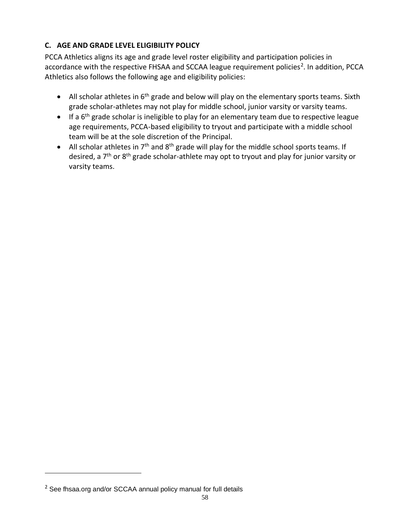### <span id="page-57-0"></span>**C. AGE AND GRADE LEVEL ELIGIBILITY POLICY**

PCCA Athletics aligns its age and grade level roster eligibility and participation policies in accordance with the respective FHSAA and SCCAA league requirement policies<sup>2</sup>. In addition, PCCA Athletics also follows the following age and eligibility policies:

- All scholar athletes in  $6<sup>th</sup>$  grade and below will play on the elementary sports teams. Sixth grade scholar-athletes may not play for middle school, junior varsity or varsity teams.
- If a 6<sup>th</sup> grade scholar is ineligible to play for an elementary team due to respective league age requirements, PCCA-based eligibility to tryout and participate with a middle school team will be at the sole discretion of the Principal.
- All scholar athletes in  $7<sup>th</sup>$  and  $8<sup>th</sup>$  grade will play for the middle school sports teams. If desired, a 7<sup>th</sup> or 8<sup>th</sup> grade scholar-athlete may opt to tryout and play for junior varsity or varsity teams.

<sup>&</sup>lt;sup>2</sup> See fhsaa.org and/or SCCAA annual policy manual for full details